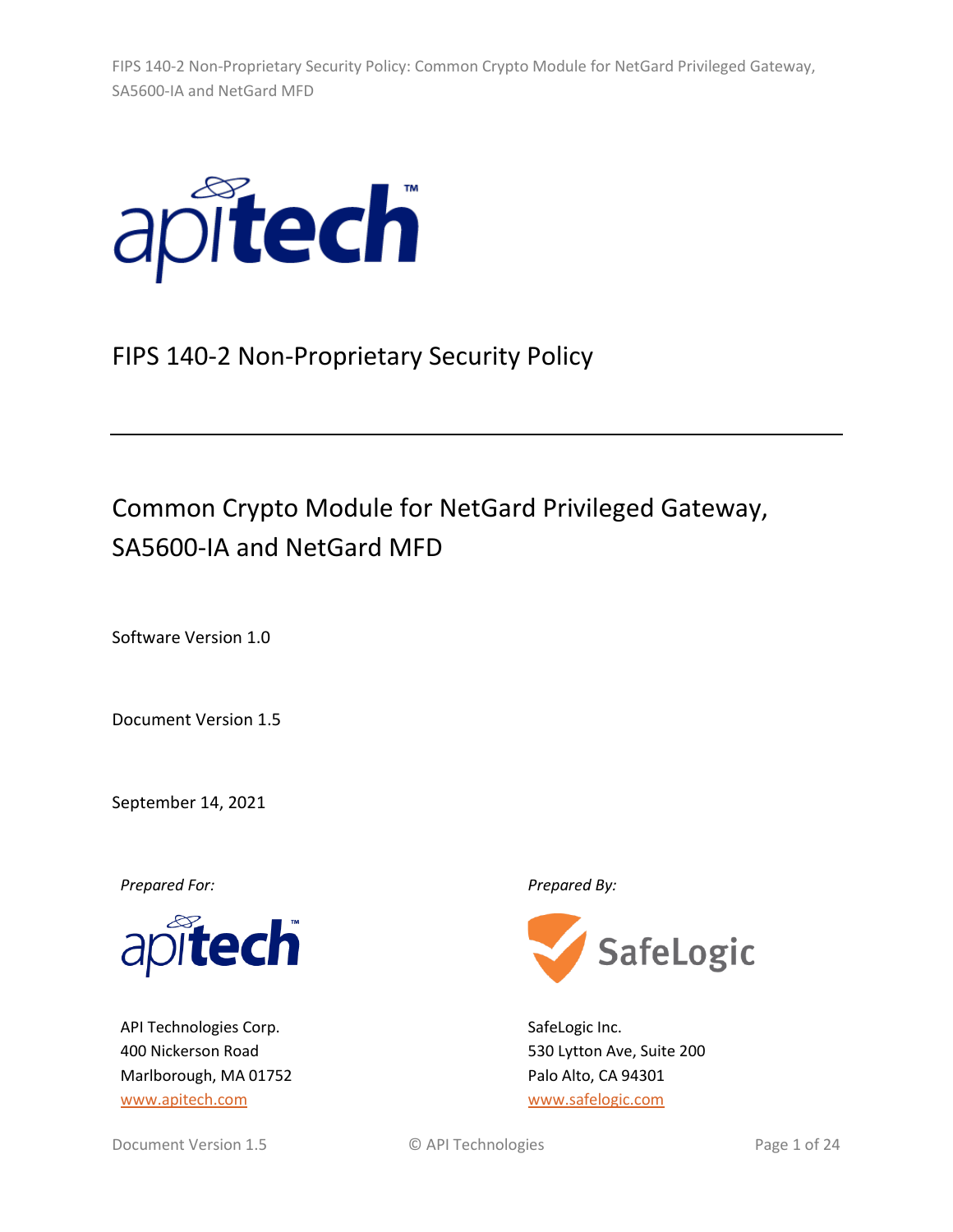

# FIPS 140-2 Non-Proprietary Security Policy

# Common Crypto Module for NetGard Privileged Gateway, SA5600-IA and NetGard MFD

Software Version 1.0

Document Version 1.5

September 14, 2021

*Prepared For: Prepared By:*



API Technologies Corp. 400 Nickerson Road Marlborough, MA 01752 [www.apitech.com](http://www.apitech.com/)



SafeLogic Inc. 530 Lytton Ave, Suite 200 Palo Alto, CA 94301 [www.safelogic.com](http://www.safelogic.com/)

Document Version 1.5 C API Technologies Page 1 of 24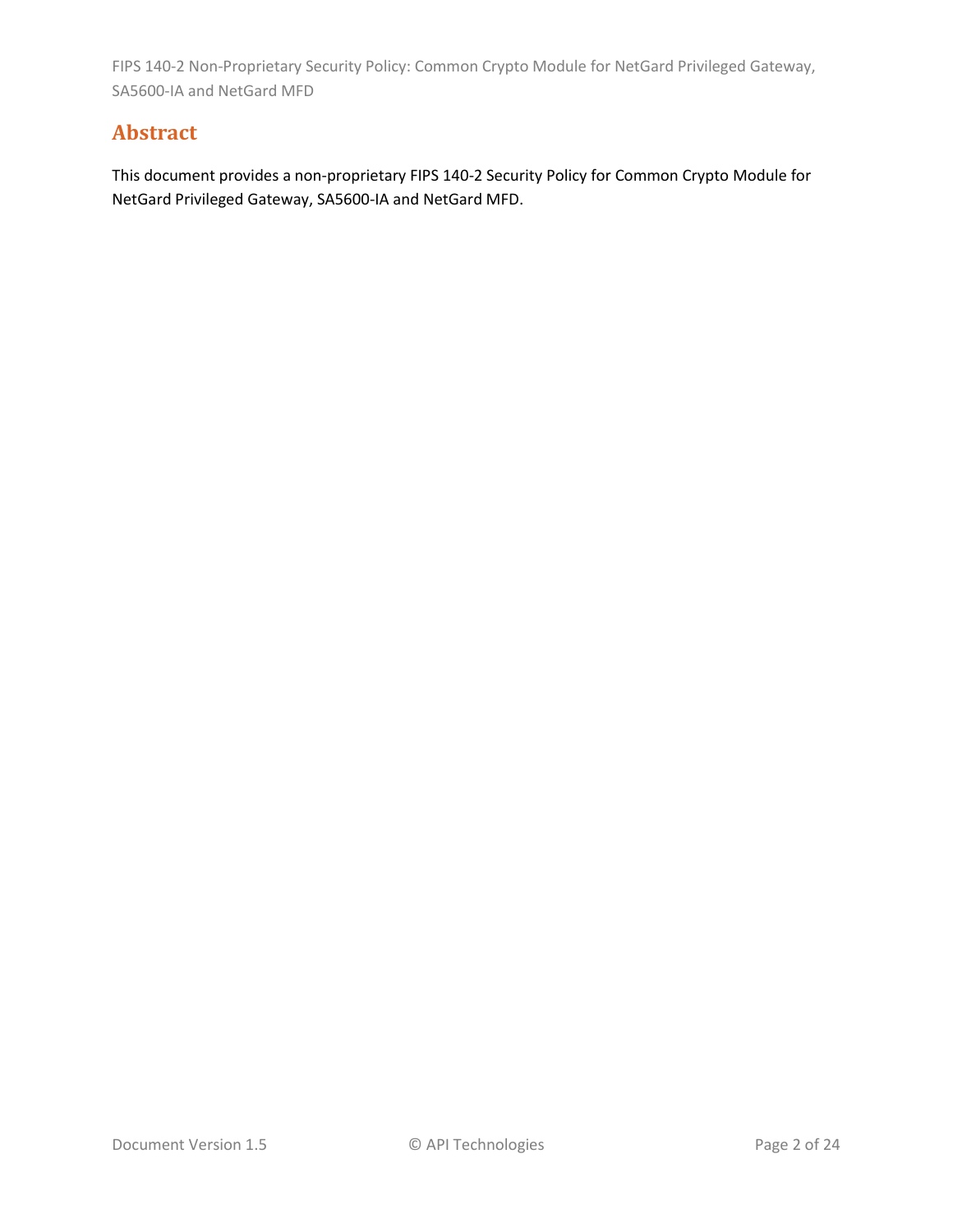# **Abstract**

This document provides a non-proprietary FIPS 140-2 Security Policy for Common Crypto Module for NetGard Privileged Gateway, SA5600-IA and NetGard MFD.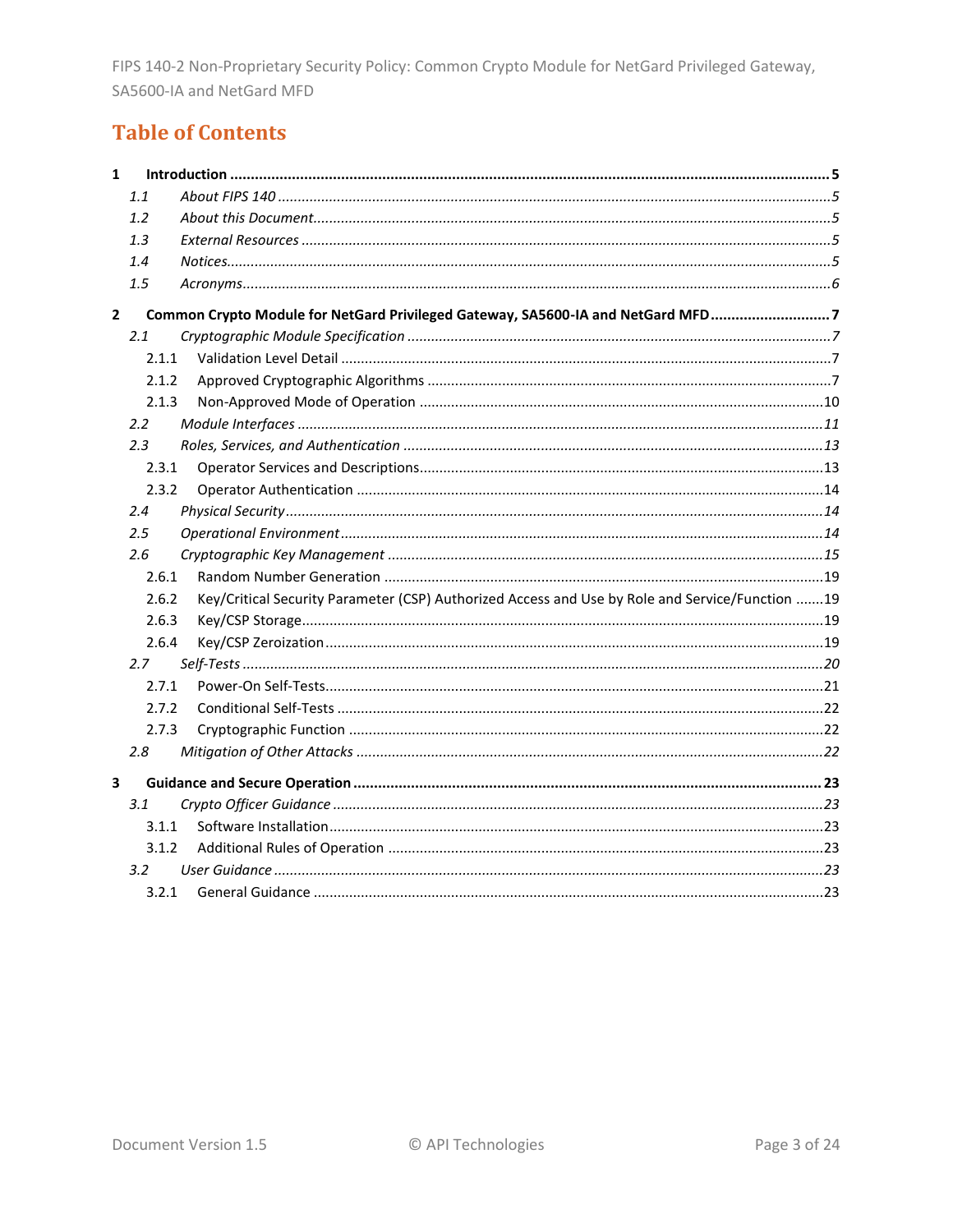# **Table of Contents**

| $\mathbf{1}$ |       |                                                                                                 |  |
|--------------|-------|-------------------------------------------------------------------------------------------------|--|
|              | 1.1   |                                                                                                 |  |
|              | 1.2   |                                                                                                 |  |
|              | 1.3   |                                                                                                 |  |
|              | 1.4   |                                                                                                 |  |
|              | 1.5   |                                                                                                 |  |
| $\mathbf{2}$ |       | Common Crypto Module for NetGard Privileged Gateway, SA5600-IA and NetGard MFD7                 |  |
|              | 2.1   |                                                                                                 |  |
|              | 2.1.1 |                                                                                                 |  |
|              | 2.1.2 |                                                                                                 |  |
|              | 2.1.3 |                                                                                                 |  |
|              | 2.2   |                                                                                                 |  |
|              | 2.3   |                                                                                                 |  |
|              | 2.3.1 |                                                                                                 |  |
|              | 2.3.2 |                                                                                                 |  |
|              | 2.4   |                                                                                                 |  |
|              | 2.5   |                                                                                                 |  |
|              | 2.6   |                                                                                                 |  |
|              | 2.6.1 |                                                                                                 |  |
|              | 2.6.2 | Key/Critical Security Parameter (CSP) Authorized Access and Use by Role and Service/Function 19 |  |
|              | 2.6.3 |                                                                                                 |  |
|              | 2.6.4 |                                                                                                 |  |
|              | 2.7   |                                                                                                 |  |
|              | 2.7.1 |                                                                                                 |  |
|              | 2.7.2 |                                                                                                 |  |
|              | 2.7.3 |                                                                                                 |  |
|              | 2.8   |                                                                                                 |  |
| 3            |       |                                                                                                 |  |
|              | 3.1   |                                                                                                 |  |
|              | 3.1.1 |                                                                                                 |  |
|              | 3.1.2 |                                                                                                 |  |
|              | 3.2   |                                                                                                 |  |
|              |       |                                                                                                 |  |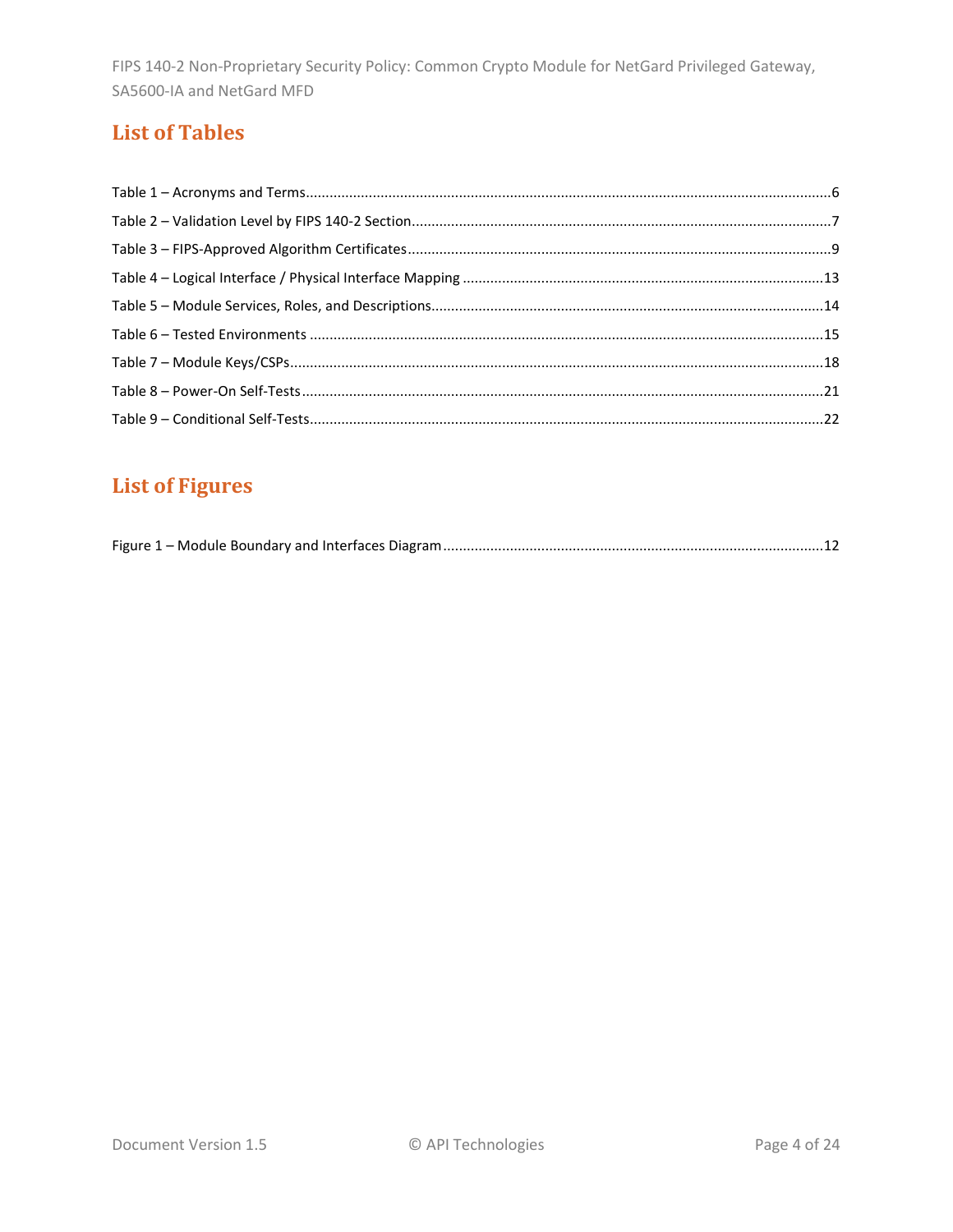# **List of Tables**

# **List of Figures**

|--|--|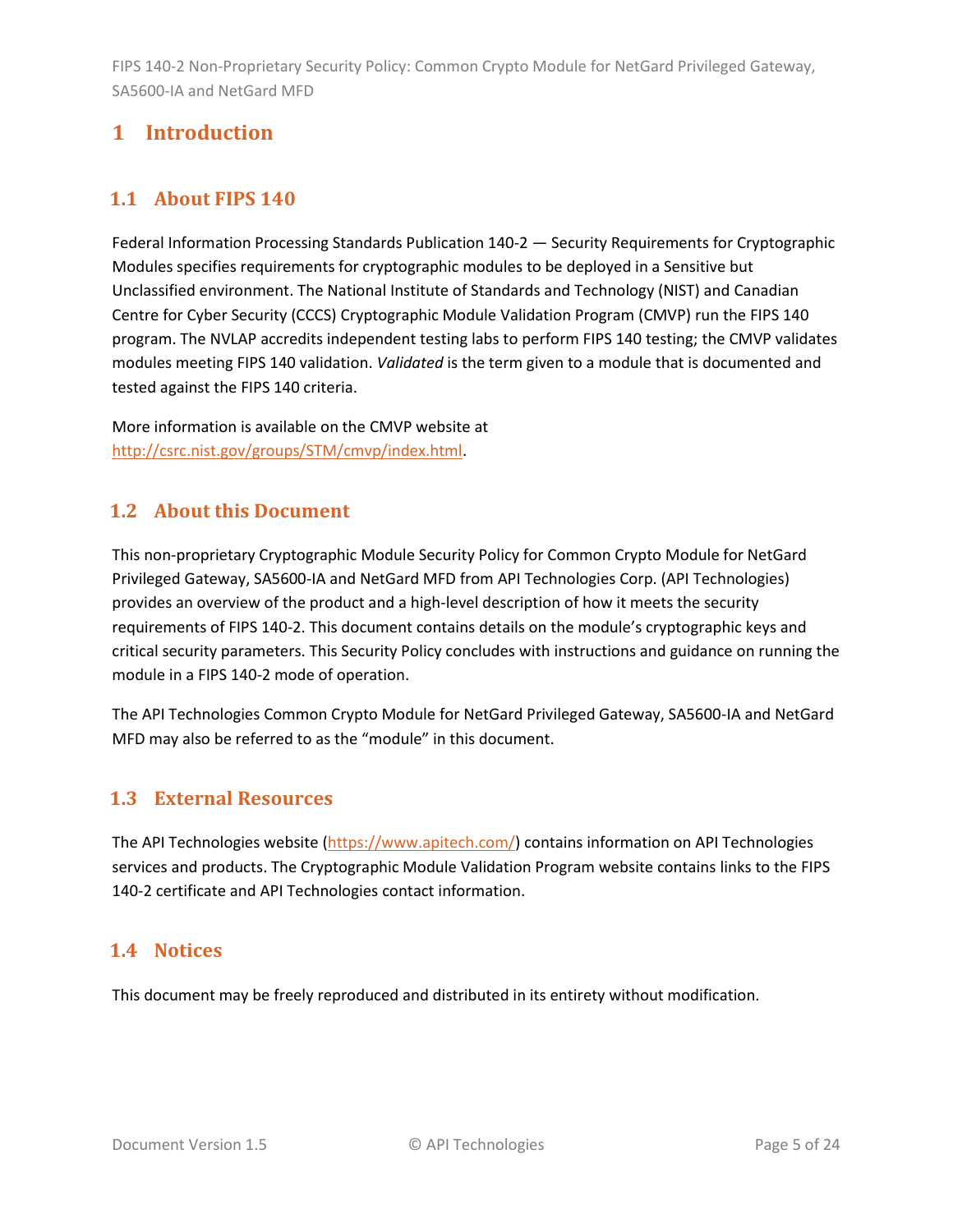# <span id="page-4-0"></span>**1 Introduction**

# <span id="page-4-1"></span>**1.1 About FIPS 140**

Federal Information Processing Standards Publication 140-2 — Security Requirements for Cryptographic Modules specifies requirements for cryptographic modules to be deployed in a Sensitive but Unclassified environment. The National Institute of Standards and Technology (NIST) and Canadian Centre for Cyber Security (CCCS) Cryptographic Module Validation Program (CMVP) run the FIPS 140 program. The NVLAP accredits independent testing labs to perform FIPS 140 testing; the CMVP validates modules meeting FIPS 140 validation. *Validated* is the term given to a module that is documented and tested against the FIPS 140 criteria.

More information is available on the CMVP website at [http://csrc.nist.gov/groups/STM/cmvp/index.html.](http://csrc.nist.gov/groups/STM/cmvp/index.html)

# <span id="page-4-2"></span>**1.2 About this Document**

This non-proprietary Cryptographic Module Security Policy for Common Crypto Module for NetGard Privileged Gateway, SA5600-IA and NetGard MFD from API Technologies Corp. (API Technologies) provides an overview of the product and a high-level description of how it meets the security requirements of FIPS 140-2. This document contains details on the module's cryptographic keys and critical security parameters. This Security Policy concludes with instructions and guidance on running the module in a FIPS 140-2 mode of operation.

The API Technologies Common Crypto Module for NetGard Privileged Gateway, SA5600-IA and NetGard MFD may also be referred to as the "module" in this document.

# <span id="page-4-3"></span>**1.3 External Resources**

The API Technologies website [\(https://www.apitech.com/\)](https://www.apitech.com/) contains information on API Technologies services and products. The Cryptographic Module Validation Program website contains links to the FIPS 140-2 certificate and API Technologies contact information.

# <span id="page-4-4"></span>**1.4 Notices**

This document may be freely reproduced and distributed in its entirety without modification.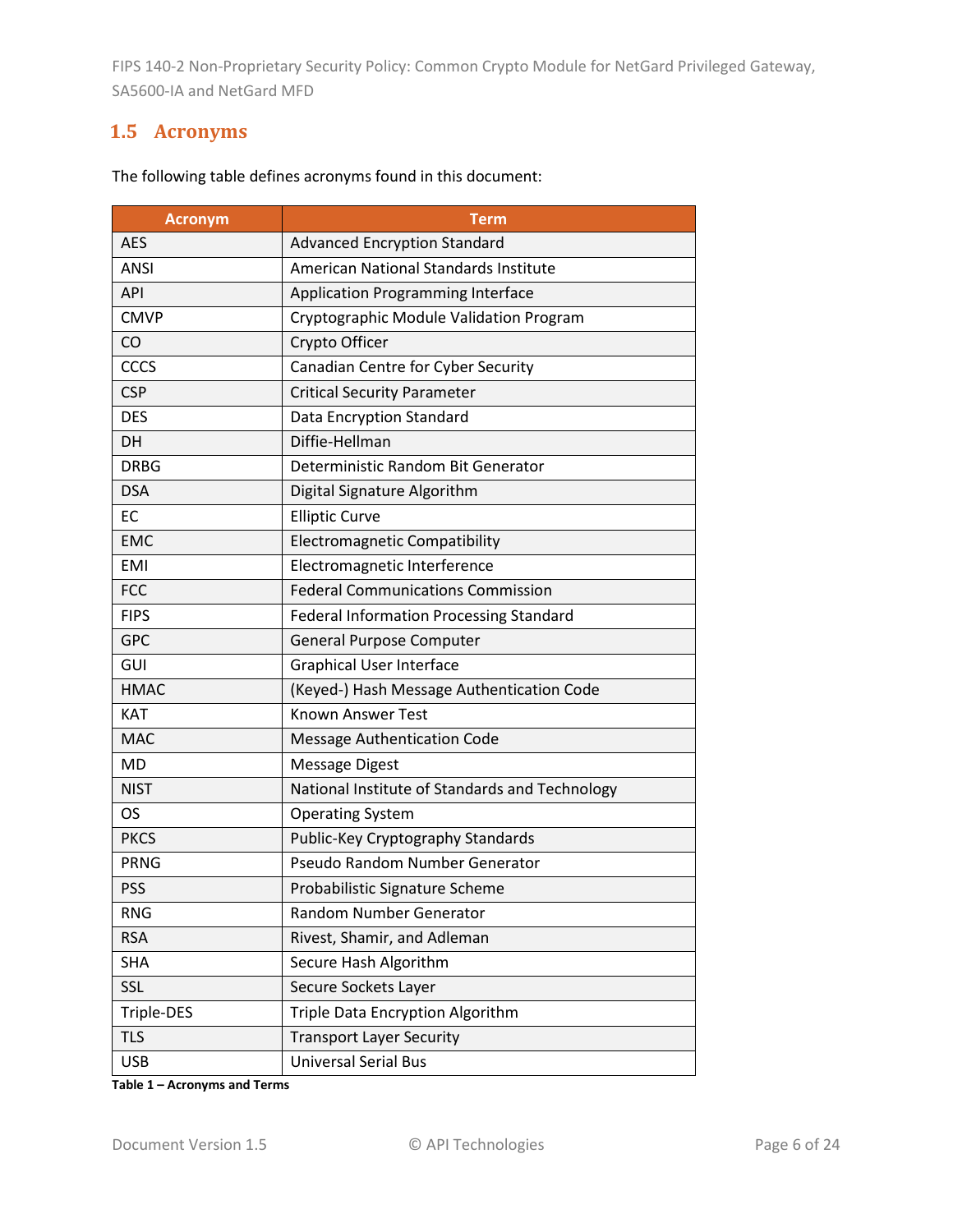# <span id="page-5-0"></span>**1.5 Acronyms**

| <b>Acronym</b> | Term                                           |  |
|----------------|------------------------------------------------|--|
| <b>AES</b>     | <b>Advanced Encryption Standard</b>            |  |
| <b>ANSI</b>    | American National Standards Institute          |  |
| <b>API</b>     | <b>Application Programming Interface</b>       |  |
| <b>CMVP</b>    | Cryptographic Module Validation Program        |  |
| CO             | Crypto Officer                                 |  |
| CCCS           | Canadian Centre for Cyber Security             |  |
| <b>CSP</b>     | <b>Critical Security Parameter</b>             |  |
| <b>DES</b>     | Data Encryption Standard                       |  |
| DH             | Diffie-Hellman                                 |  |
| <b>DRBG</b>    | Deterministic Random Bit Generator             |  |
| <b>DSA</b>     | Digital Signature Algorithm                    |  |
| <b>EC</b>      | <b>Elliptic Curve</b>                          |  |
| <b>EMC</b>     | <b>Electromagnetic Compatibility</b>           |  |
| <b>EMI</b>     | Electromagnetic Interference                   |  |
| <b>FCC</b>     | <b>Federal Communications Commission</b>       |  |
| <b>FIPS</b>    | <b>Federal Information Processing Standard</b> |  |
| <b>GPC</b>     | <b>General Purpose Computer</b>                |  |
| GUI            | <b>Graphical User Interface</b>                |  |
| <b>HMAC</b>    | (Keyed-) Hash Message Authentication Code      |  |
| <b>KAT</b>     | <b>Known Answer Test</b>                       |  |
| <b>MAC</b>     | <b>Message Authentication Code</b>             |  |
| MD             | <b>Message Digest</b>                          |  |
| <b>NIST</b>    | National Institute of Standards and Technology |  |
| OS.            | <b>Operating System</b>                        |  |
| <b>PKCS</b>    | Public-Key Cryptography Standards              |  |
| <b>PRNG</b>    | Pseudo Random Number Generator                 |  |
| <b>PSS</b>     | Probabilistic Signature Scheme                 |  |
| <b>RNG</b>     | Random Number Generator                        |  |
| <b>RSA</b>     | Rivest, Shamir, and Adleman                    |  |
| <b>SHA</b>     | Secure Hash Algorithm                          |  |
| SSL            | Secure Sockets Layer                           |  |
| Triple-DES     | Triple Data Encryption Algorithm               |  |
| <b>TLS</b>     | <b>Transport Layer Security</b>                |  |
| <b>USB</b>     | <b>Universal Serial Bus</b>                    |  |

The following table defines acronyms found in this document:

**Table 1 – Acronyms and Terms**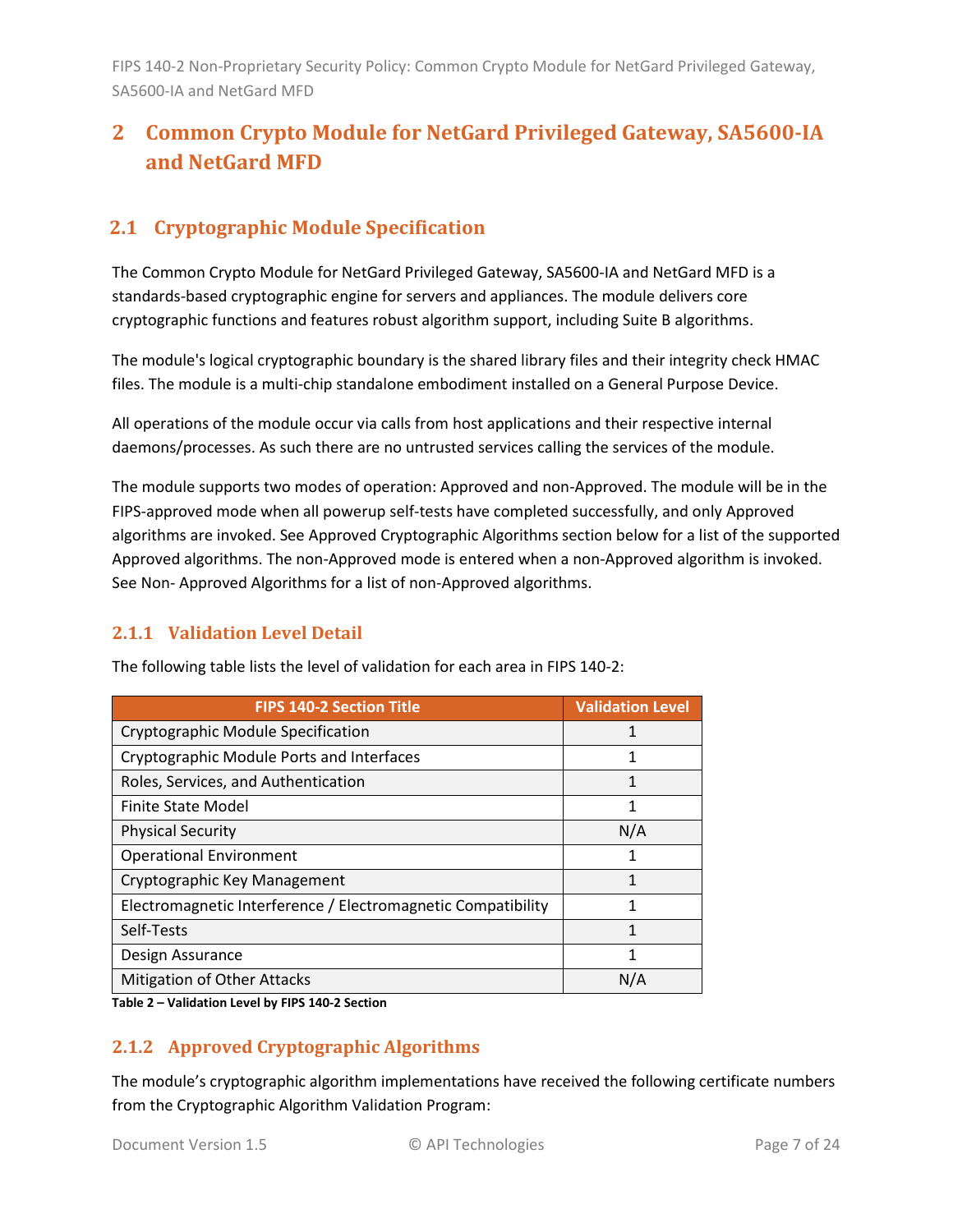# <span id="page-6-0"></span>**2 Common Crypto Module for NetGard Privileged Gateway, SA5600-IA and NetGard MFD**

# <span id="page-6-1"></span>**2.1 Cryptographic Module Specification**

The Common Crypto Module for NetGard Privileged Gateway, SA5600-IA and NetGard MFD is a standards-based cryptographic engine for servers and appliances. The module delivers core cryptographic functions and features robust algorithm support, including Suite B algorithms.

The module's logical cryptographic boundary is the shared library files and their integrity check HMAC files. The module is a multi-chip standalone embodiment installed on a General Purpose Device.

All operations of the module occur via calls from host applications and their respective internal daemons/processes. As such there are no untrusted services calling the services of the module.

The module supports two modes of operation: Approved and non-Approved. The module will be in the FIPS-approved mode when all powerup self-tests have completed successfully, and only Approved algorithms are invoked. See Approved Cryptographic Algorithms section below for a list of the supported Approved algorithms. The non-Approved mode is entered when a non-Approved algorithm is invoked. See Non- Approved Algorithms for a list of non-Approved algorithms.

#### <span id="page-6-2"></span>**2.1.1 Validation Level Detail**

| <b>FIPS 140-2 Section Title</b>                              | <b>Validation Level</b> |
|--------------------------------------------------------------|-------------------------|
| Cryptographic Module Specification                           |                         |
| Cryptographic Module Ports and Interfaces                    |                         |
| Roles, Services, and Authentication                          |                         |
| <b>Finite State Model</b>                                    | 1                       |
| <b>Physical Security</b>                                     | N/A                     |
| <b>Operational Environment</b>                               |                         |
| Cryptographic Key Management                                 | 1                       |
| Electromagnetic Interference / Electromagnetic Compatibility | 1                       |
| Self-Tests                                                   | 1                       |
| Design Assurance                                             | 1                       |
| <b>Mitigation of Other Attacks</b>                           | N/A                     |

The following table lists the level of validation for each area in FIPS 140-2:

**Table 2 – Validation Level by FIPS 140-2 Section**

#### <span id="page-6-3"></span>**2.1.2 Approved Cryptographic Algorithms**

The module's cryptographic algorithm implementations have received the following certificate numbers from the Cryptographic Algorithm Validation Program: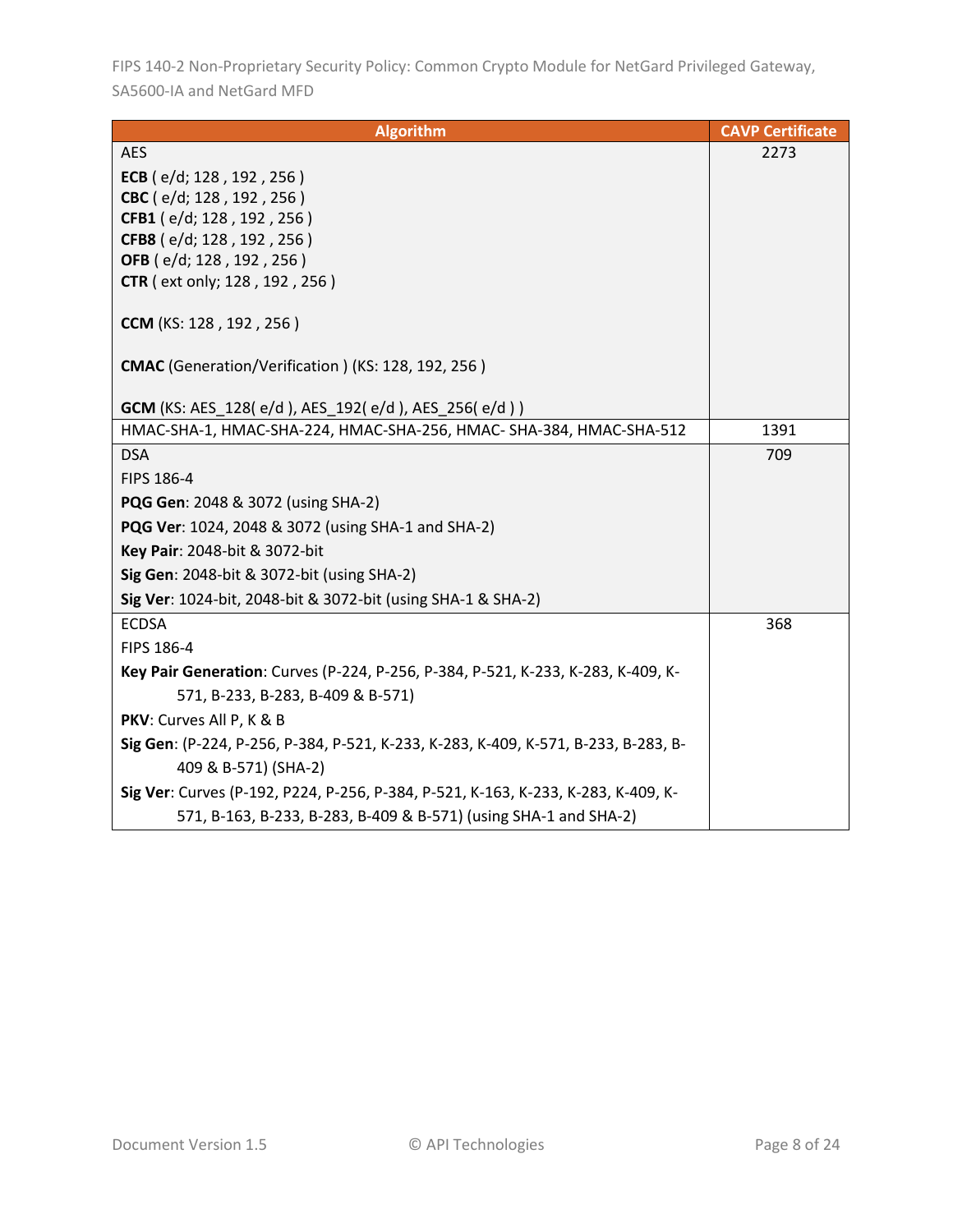| <b>Algorithm</b>                                                                   | <b>CAVP Certificate</b> |
|------------------------------------------------------------------------------------|-------------------------|
| <b>AES</b>                                                                         | 2273                    |
| ECB ( $e/d$ ; 128, 192, 256)                                                       |                         |
| CBC (e/d; 128, 192, 256)                                                           |                         |
| CFB1 (e/d; 128, 192, 256)                                                          |                         |
| CFB8 (e/d; 128, 192, 256)                                                          |                         |
| OFB (e/d; 128, 192, 256)                                                           |                         |
| <b>CTR</b> ( ext only; 128, 192, 256)                                              |                         |
| CCM (KS: 128, 192, 256)                                                            |                         |
| CMAC (Generation/Verification) (KS: 128, 192, 256)                                 |                         |
| <b>GCM</b> (KS: AES_128(e/d), AES_192(e/d), AES_256(e/d))                          |                         |
| HMAC-SHA-1, HMAC-SHA-224, HMAC-SHA-256, HMAC-SHA-384, HMAC-SHA-512                 | 1391                    |
| <b>DSA</b>                                                                         | 709                     |
| FIPS 186-4                                                                         |                         |
| <b>PQG Gen: 2048 &amp; 3072 (using SHA-2)</b>                                      |                         |
| PQG Ver: 1024, 2048 & 3072 (using SHA-1 and SHA-2)                                 |                         |
| Key Pair: 2048-bit & 3072-bit                                                      |                         |
| Sig Gen: 2048-bit & 3072-bit (using SHA-2)                                         |                         |
| Sig Ver: 1024-bit, 2048-bit & 3072-bit (using SHA-1 & SHA-2)                       |                         |
| <b>ECDSA</b>                                                                       | 368                     |
| FIPS 186-4                                                                         |                         |
| Key Pair Generation: Curves (P-224, P-256, P-384, P-521, K-233, K-283, K-409, K-   |                         |
| 571, B-233, B-283, B-409 & B-571)                                                  |                         |
| PKV: Curves All P, K & B                                                           |                         |
| Sig Gen: (P-224, P-256, P-384, P-521, K-233, K-283, K-409, K-571, B-233, B-283, B- |                         |
| 409 & B-571) (SHA-2)                                                               |                         |
| Sig Ver: Curves (P-192, P224, P-256, P-384, P-521, K-163, K-233, K-283, K-409, K-  |                         |
| 571, B-163, B-233, B-283, B-409 & B-571) (using SHA-1 and SHA-2)                   |                         |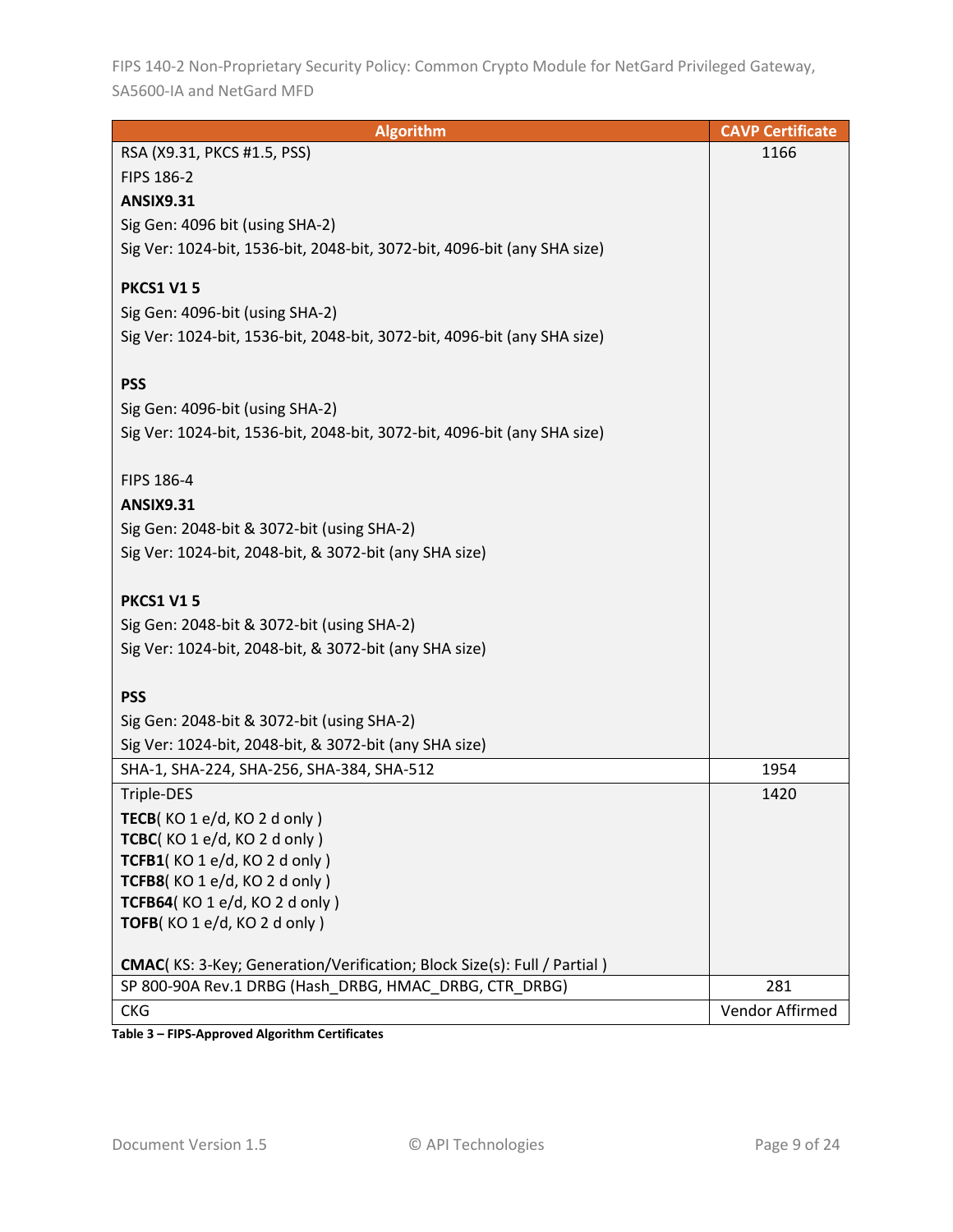| <b>Algorithm</b>                                                                | <b>CAVP Certificate</b> |
|---------------------------------------------------------------------------------|-------------------------|
| RSA (X9.31, PKCS #1.5, PSS)                                                     | 1166                    |
| FIPS 186-2                                                                      |                         |
| <b>ANSIX9.31</b>                                                                |                         |
| Sig Gen: 4096 bit (using SHA-2)                                                 |                         |
| Sig Ver: 1024-bit, 1536-bit, 2048-bit, 3072-bit, 4096-bit (any SHA size)        |                         |
|                                                                                 |                         |
| <b>PKCS1 V15</b>                                                                |                         |
| Sig Gen: 4096-bit (using SHA-2)                                                 |                         |
| Sig Ver: 1024-bit, 1536-bit, 2048-bit, 3072-bit, 4096-bit (any SHA size)        |                         |
|                                                                                 |                         |
| <b>PSS</b>                                                                      |                         |
| Sig Gen: 4096-bit (using SHA-2)                                                 |                         |
| Sig Ver: 1024-bit, 1536-bit, 2048-bit, 3072-bit, 4096-bit (any SHA size)        |                         |
|                                                                                 |                         |
| FIPS 186-4                                                                      |                         |
| <b>ANSIX9.31</b>                                                                |                         |
| Sig Gen: 2048-bit & 3072-bit (using SHA-2)                                      |                         |
| Sig Ver: 1024-bit, 2048-bit, & 3072-bit (any SHA size)                          |                         |
|                                                                                 |                         |
| <b>PKCS1 V15</b>                                                                |                         |
| Sig Gen: 2048-bit & 3072-bit (using SHA-2)                                      |                         |
| Sig Ver: 1024-bit, 2048-bit, & 3072-bit (any SHA size)                          |                         |
|                                                                                 |                         |
| <b>PSS</b>                                                                      |                         |
| Sig Gen: 2048-bit & 3072-bit (using SHA-2)                                      |                         |
| Sig Ver: 1024-bit, 2048-bit, & 3072-bit (any SHA size)                          |                         |
| SHA-1, SHA-224, SHA-256, SHA-384, SHA-512                                       | 1954                    |
| Triple-DES                                                                      | 1420                    |
| TECB(KO1e/d, KO2d only)                                                         |                         |
| TCBC(KO 1 e/d, KO 2 d only)                                                     |                         |
| TCFB1(KO1e/d, KO2donly)                                                         |                         |
| TCFB8(KO 1 e/d, KO 2 d only)                                                    |                         |
| TCFB64(KO 1 e/d, KO 2 d only)                                                   |                         |
| TOFB(KO1e/d, KO2donly)                                                          |                         |
|                                                                                 |                         |
| <b>CMAC</b> (KS: 3-Key; Generation/Verification; Block Size(s): Full / Partial) |                         |
| SP 800-90A Rev.1 DRBG (Hash DRBG, HMAC DRBG, CTR DRBG)                          | 281                     |
| <b>CKG</b>                                                                      | Vendor Affirmed         |

**Table 3 – FIPS-Approved Algorithm Certificates**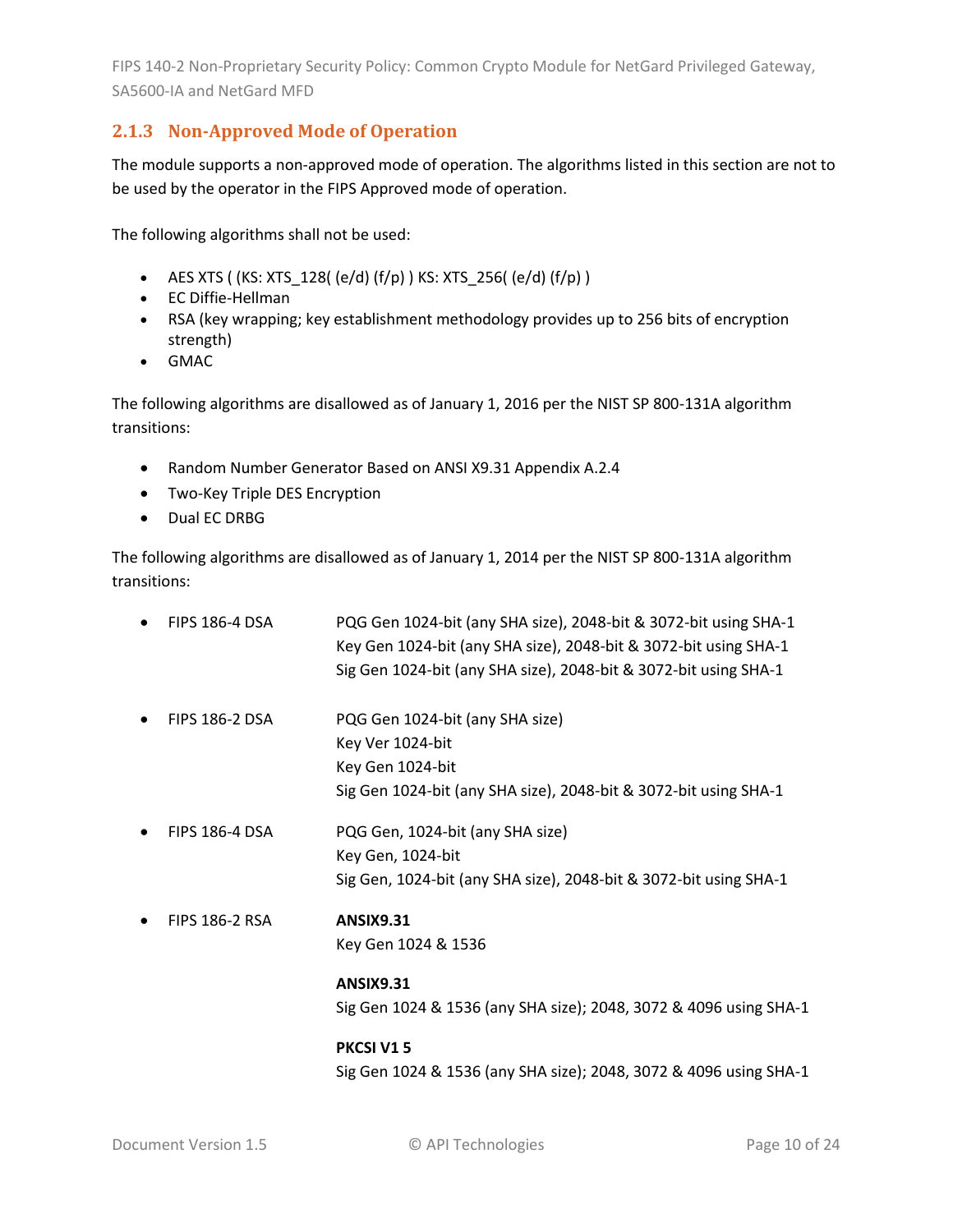#### <span id="page-9-0"></span>**2.1.3 Non-Approved Mode of Operation**

The module supports a non-approved mode of operation. The algorithms listed in this section are not to be used by the operator in the FIPS Approved mode of operation.

The following algorithms shall not be used:

- AES XTS ( (KS: XTS  $128$ ( (e/d) (f/p) ) KS: XTS  $256$ ( (e/d) (f/p) )
- EC Diffie-Hellman
- RSA (key wrapping; key establishment methodology provides up to 256 bits of encryption strength)
- GMAC

The following algorithms are disallowed as of January 1, 2016 per the NIST SP 800-131A algorithm transitions:

- Random Number Generator Based on ANSI X9.31 Appendix A.2.4
- Two-Key Triple DES Encryption
- Dual EC DRBG

The following algorithms are disallowed as of January 1, 2014 per the NIST SP 800-131A algorithm transitions:

| $\bullet$ | <b>FIPS 186-4 DSA</b> | PQG Gen 1024-bit (any SHA size), 2048-bit & 3072-bit using SHA-1<br>Key Gen 1024-bit (any SHA size), 2048-bit & 3072-bit using SHA-1 |
|-----------|-----------------------|--------------------------------------------------------------------------------------------------------------------------------------|
|           |                       | Sig Gen 1024-bit (any SHA size), 2048-bit & 3072-bit using SHA-1                                                                     |
|           | <b>FIPS 186-2 DSA</b> | PQG Gen 1024-bit (any SHA size)                                                                                                      |
|           |                       | Key Ver 1024-bit                                                                                                                     |
|           |                       | Key Gen 1024-bit                                                                                                                     |
|           |                       | Sig Gen 1024-bit (any SHA size), 2048-bit & 3072-bit using SHA-1                                                                     |
| ٠         | <b>FIPS 186-4 DSA</b> | PQG Gen, 1024-bit (any SHA size)                                                                                                     |
|           |                       | Key Gen, 1024-bit                                                                                                                    |
|           |                       | Sig Gen, 1024-bit (any SHA size), 2048-bit & 3072-bit using SHA-1                                                                    |
|           | <b>FIPS 186-2 RSA</b> | <b>ANSIX9.31</b>                                                                                                                     |
|           |                       | Key Gen 1024 & 1536                                                                                                                  |
|           |                       | <b>ANSIX9.31</b>                                                                                                                     |
|           |                       | Sig Gen 1024 & 1536 (any SHA size); 2048, 3072 & 4096 using SHA-1                                                                    |
|           |                       | <b>PKCSI V15</b>                                                                                                                     |
|           |                       | Sig Gen 1024 & 1536 (any SHA size); 2048, 3072 & 4096 using SHA-1                                                                    |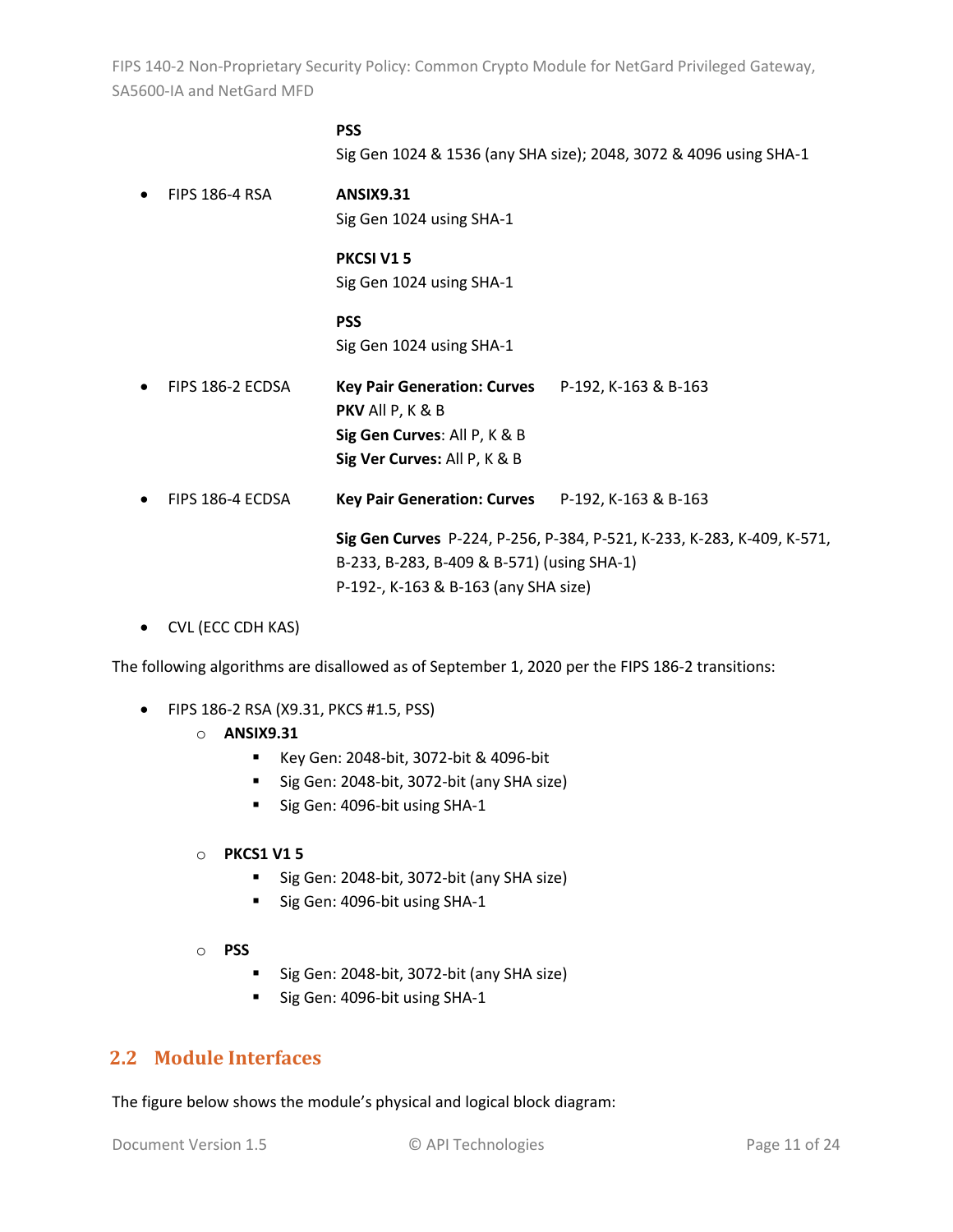#### **PSS**

Sig Gen 1024 & 1536 (any SHA size); 2048, 3072 & 4096 using SHA-1

- FIPS 186-4 RSA **ANSIX9.31** Sig Gen 1024 using SHA-1 **PKCSI V1 5** Sig Gen 1024 using SHA-1 **PSS** Sig Gen 1024 using SHA-1 • FIPS 186-2 ECDSA **Key Pair Generation: Curves** P-192, K-163 & B-163 **PKV** All P, K & B **Sig Gen Curves**: All P, K & B **Sig Ver Curves:** All P, K & B • FIPS 186-4 ECDSA **Key Pair Generation: Curves** P-192, K-163 & B-163 **Sig Gen Curves** P-224, P-256, P-384, P-521, K-233, K-283, K-409, K-571, B-233, B-283, B-409 & B-571) (using SHA-1) P-192-, K-163 & B-163 (any SHA size)
- CVL (ECC CDH KAS)

The following algorithms are disallowed as of September 1, 2020 per the FIPS 186-2 transitions:

- FIPS 186-2 RSA (X9.31, PKCS #1.5, PSS)
	- o **ANSIX9.31**
		- Key Gen: 2048-bit, 3072-bit & 4096-bit
		- Sig Gen: 2048-bit, 3072-bit (any SHA size)
		- Sig Gen: 4096-bit using SHA-1
	- o **PKCS1 V1 5**
		- Sig Gen: 2048-bit, 3072-bit (any SHA size)
		- Sig Gen: 4096-bit using SHA-1
	- o **PSS**
		- Sig Gen: 2048-bit, 3072-bit (any SHA size)
		- Sig Gen: 4096-bit using SHA-1

#### <span id="page-10-0"></span>**2.2 Module Interfaces**

The figure below shows the module's physical and logical block diagram: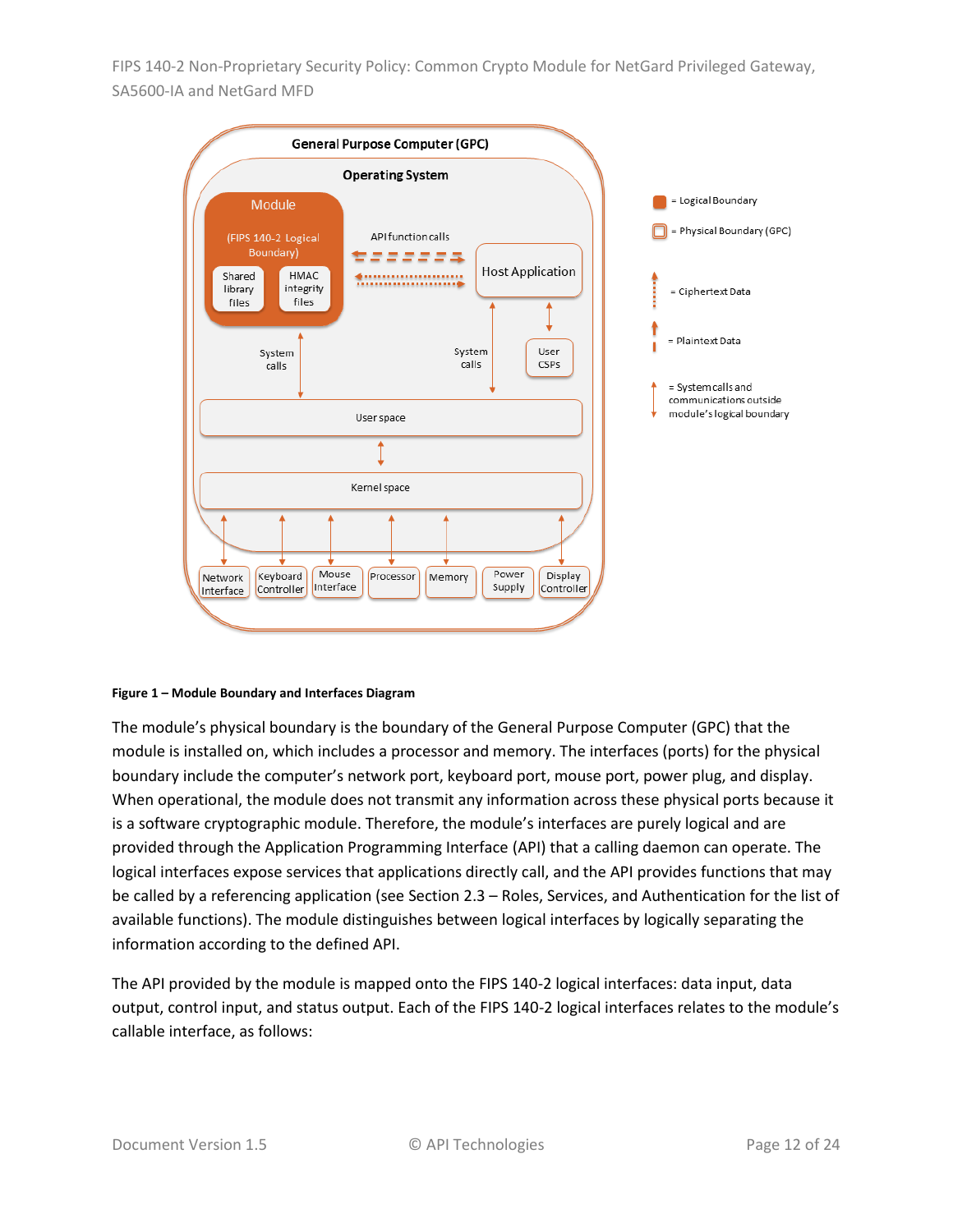

#### <span id="page-11-0"></span>**Figure 1 – Module Boundary and Interfaces Diagram**

The module's physical boundary is the boundary of the General Purpose Computer (GPC) that the module is installed on, which includes a processor and memory. The interfaces (ports) for the physical boundary include the computer's network port, keyboard port, mouse port, power plug, and display. When operational, the module does not transmit any information across these physical ports because it is a software cryptographic module. Therefore, the module's interfaces are purely logical and are provided through the Application Programming Interface (API) that a calling daemon can operate. The logical interfaces expose services that applications directly call, and the API provides functions that may be called by a referencing application (see Section [2.3](#page-12-0) – [Roles, Services, and Authentication](#page-12-0) for the list of available functions). The module distinguishes between logical interfaces by logically separating the information according to the defined API.

The API provided by the module is mapped onto the FIPS 140-2 logical interfaces: data input, data output, control input, and status output. Each of the FIPS 140-2 logical interfaces relates to the module's callable interface, as follows: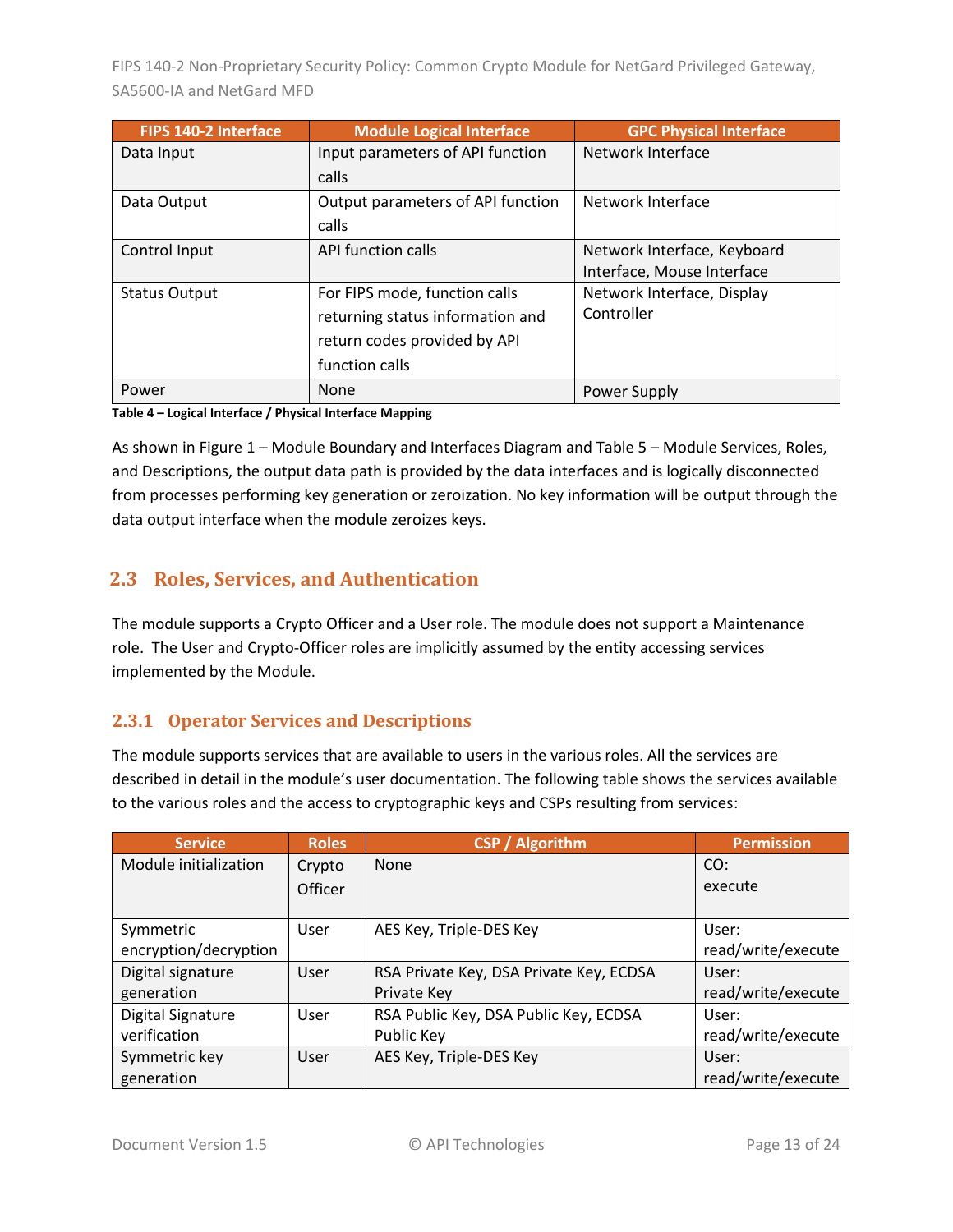| <b>FIPS 140-2 Interface</b> | <b>Module Logical Interface</b>   | <b>GPC Physical Interface</b> |
|-----------------------------|-----------------------------------|-------------------------------|
| Data Input                  | Input parameters of API function  | Network Interface             |
|                             | calls                             |                               |
| Data Output                 | Output parameters of API function | Network Interface             |
|                             | calls                             |                               |
| Control Input               | API function calls                | Network Interface, Keyboard   |
|                             |                                   | Interface, Mouse Interface    |
| <b>Status Output</b>        | For FIPS mode, function calls     | Network Interface, Display    |
|                             | returning status information and  | Controller                    |
|                             | return codes provided by API      |                               |
|                             | function calls                    |                               |
| Power                       | None                              | Power Supply                  |

**Table 4 – Logical Interface / Physical Interface Mapping**

As shown in Figure 1 – [Module Boundary and Interfaces Diagram](#page-11-0) and Table 5 – Module [Services, Roles,](#page-13-3) [and Descriptions,](#page-13-3) the output data path is provided by the data interfaces and is logically disconnected from processes performing key generation or zeroization. No key information will be output through the data output interface when the module zeroizes keys.

# <span id="page-12-0"></span>**2.3 Roles, Services, and Authentication**

The module supports a Crypto Officer and a User role. The module does not support a Maintenance role. The User and Crypto-Officer roles are implicitly assumed by the entity accessing services implemented by the Module.

#### <span id="page-12-1"></span>**2.3.1 Operator Services and Descriptions**

The module supports services that are available to users in the various roles. All the services are described in detail in the module's user documentation. The following table shows the services available to the various roles and the access to cryptographic keys and CSPs resulting from services:

| <b>Service</b>           | <b>Roles</b> | <b>CSP / Algorithm</b>                  | <b>Permission</b>  |
|--------------------------|--------------|-----------------------------------------|--------------------|
| Module initialization    | Crypto       | <b>None</b>                             | CO:                |
|                          | Officer      |                                         | execute            |
|                          |              |                                         |                    |
| Symmetric                | User         | AES Key, Triple-DES Key                 | User:              |
| encryption/decryption    |              |                                         | read/write/execute |
| Digital signature        | User         | RSA Private Key, DSA Private Key, ECDSA | User:              |
| generation               |              | Private Key                             | read/write/execute |
| <b>Digital Signature</b> | User         | RSA Public Key, DSA Public Key, ECDSA   | User:              |
| verification             |              | Public Key                              | read/write/execute |
| Symmetric key            | User         | AES Key, Triple-DES Key                 | User:              |
| generation               |              |                                         | read/write/execute |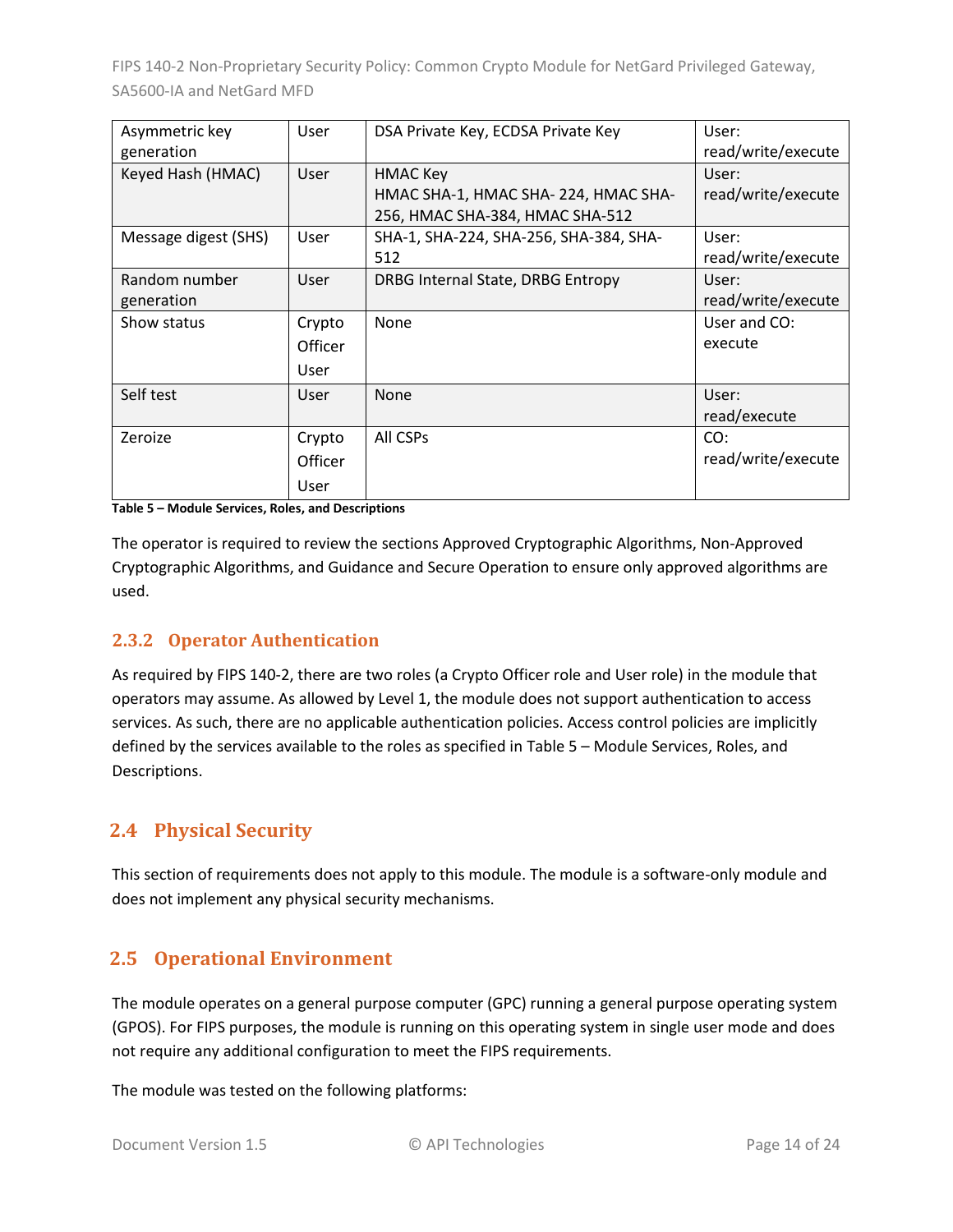| Asymmetric key       | User    | DSA Private Key, ECDSA Private Key     | User:              |
|----------------------|---------|----------------------------------------|--------------------|
| generation           |         |                                        | read/write/execute |
| Keyed Hash (HMAC)    | User    | HMAC Key                               | User:              |
|                      |         | HMAC SHA-1, HMAC SHA-224, HMAC SHA-    | read/write/execute |
|                      |         | 256, HMAC SHA-384, HMAC SHA-512        |                    |
| Message digest (SHS) | User    | SHA-1, SHA-224, SHA-256, SHA-384, SHA- | User:              |
|                      |         | 512                                    | read/write/execute |
| Random number        | User    | DRBG Internal State, DRBG Entropy      | User:              |
| generation           |         |                                        | read/write/execute |
| Show status          | Crypto  | None                                   | User and CO:       |
|                      | Officer |                                        | execute            |
|                      | User    |                                        |                    |
| Self test            | User    | None                                   | User:              |
|                      |         |                                        | read/execute       |
| Zeroize              | Crypto  | All CSPs                               | CO:                |
|                      | Officer |                                        | read/write/execute |
|                      | User    |                                        |                    |

<span id="page-13-3"></span>**Table 5 – Module Services, Roles, and Descriptions**

The operator is required to review the sections Approved Cryptographic Algorithms, Non-Approved Cryptographic Algorithms, and Guidance and Secure Operation to ensure only approved algorithms are used.

#### <span id="page-13-0"></span>**2.3.2 Operator Authentication**

As required by FIPS 140-2, there are two roles (a Crypto Officer role and User role) in the module that operators may assume. As allowed by Level 1, the module does not support authentication to access services. As such, there are no applicable authentication policies. Access control policies are implicitly defined by the services available to the roles as specified in Table 5 – Module [Services, Roles,](#page-13-3) and [Descriptions.](#page-13-3)

# <span id="page-13-1"></span>**2.4 Physical Security**

This section of requirements does not apply to this module. The module is a software-only module and does not implement any physical security mechanisms.

# <span id="page-13-2"></span>**2.5 Operational Environment**

The module operates on a general purpose computer (GPC) running a general purpose operating system (GPOS). For FIPS purposes, the module is running on this operating system in single user mode and does not require any additional configuration to meet the FIPS requirements.

The module was tested on the following platforms: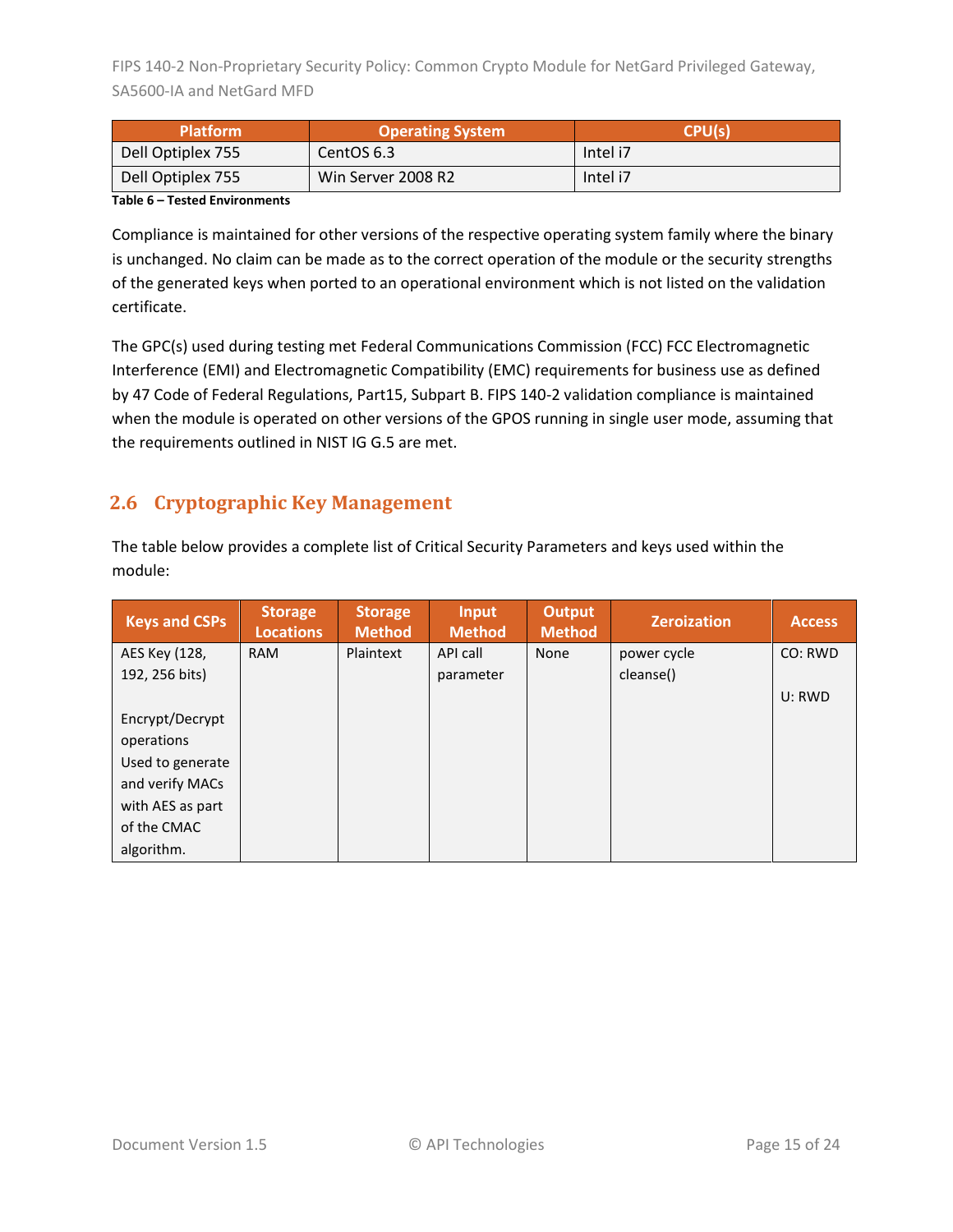| <b>Platform</b>   | <b>Operating System</b> | CPU(s)   |  |
|-------------------|-------------------------|----------|--|
| Dell Optiplex 755 | CentOS 6.3              | Intel i7 |  |
| Dell Optiplex 755 | Win Server 2008 R2      | Intel i7 |  |

**Table 6 – Tested Environments**

Compliance is maintained for other versions of the respective operating system family where the binary is unchanged. No claim can be made as to the correct operation of the module or the security strengths of the generated keys when ported to an operational environment which is not listed on the validation certificate.

The GPC(s) used during testing met Federal Communications Commission (FCC) FCC Electromagnetic Interference (EMI) and Electromagnetic Compatibility (EMC) requirements for business use as defined by 47 Code of Federal Regulations, Part15, Subpart B. FIPS 140-2 validation compliance is maintained when the module is operated on other versions of the GPOS running in single user mode, assuming that the requirements outlined in NIST IG G.5 are met.

# <span id="page-14-0"></span>**2.6 Cryptographic Key Management**

The table below provides a complete list of Critical Security Parameters and keys used within the module:

| <b>Keys and CSPs</b> | <b>Storage</b><br><b>Locations</b> | <b>Storage</b><br><b>Method</b> | <b>Input</b><br><b>Method</b> | Output<br><b>Method</b> | <b>Zeroization</b> | <b>Access</b> |
|----------------------|------------------------------------|---------------------------------|-------------------------------|-------------------------|--------------------|---------------|
| AES Key (128,        | <b>RAM</b>                         | Plaintext                       | API call                      | None                    | power cycle        | CO: RWD       |
| 192, 256 bits)       |                                    |                                 | parameter                     |                         | cleanse()          |               |
|                      |                                    |                                 |                               |                         |                    | U: RWD        |
| Encrypt/Decrypt      |                                    |                                 |                               |                         |                    |               |
| operations           |                                    |                                 |                               |                         |                    |               |
| Used to generate     |                                    |                                 |                               |                         |                    |               |
| and verify MACs      |                                    |                                 |                               |                         |                    |               |
| with AES as part     |                                    |                                 |                               |                         |                    |               |
| of the CMAC          |                                    |                                 |                               |                         |                    |               |
| algorithm.           |                                    |                                 |                               |                         |                    |               |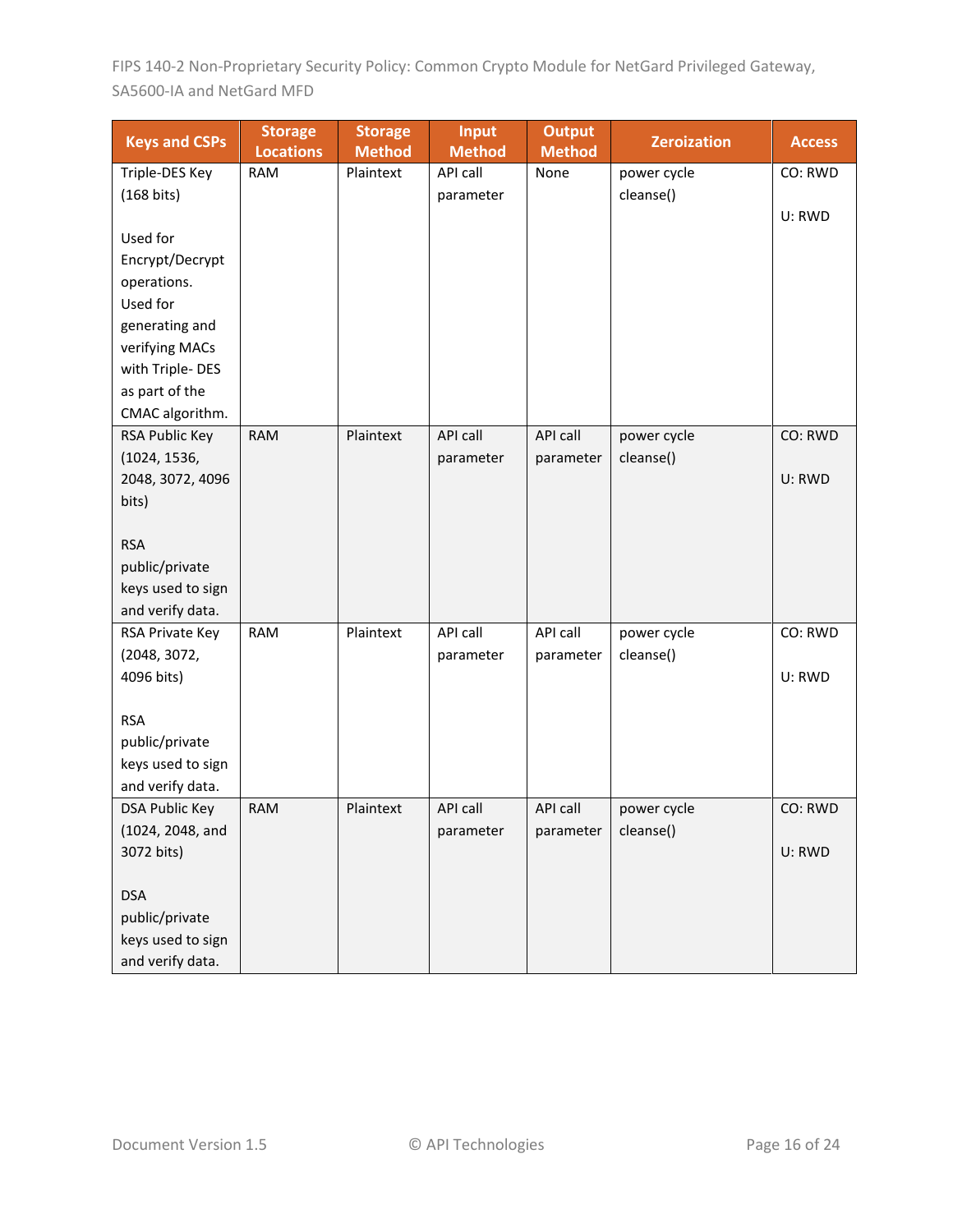| <b>Keys and CSPs</b>  | <b>Storage</b><br><b>Locations</b> | <b>Storage</b><br><b>Method</b> | <b>Input</b><br><b>Method</b> | <b>Output</b><br><b>Method</b> | <b>Zeroization</b> | <b>Access</b> |
|-----------------------|------------------------------------|---------------------------------|-------------------------------|--------------------------------|--------------------|---------------|
| Triple-DES Key        | <b>RAM</b>                         | Plaintext                       | API call                      | None                           | power cycle        | CO: RWD       |
| $(168 \text{ bits})$  |                                    |                                 | parameter                     |                                | cleanse()          |               |
|                       |                                    |                                 |                               |                                |                    | U: RWD        |
| Used for              |                                    |                                 |                               |                                |                    |               |
| Encrypt/Decrypt       |                                    |                                 |                               |                                |                    |               |
| operations.           |                                    |                                 |                               |                                |                    |               |
| Used for              |                                    |                                 |                               |                                |                    |               |
| generating and        |                                    |                                 |                               |                                |                    |               |
| verifying MACs        |                                    |                                 |                               |                                |                    |               |
| with Triple-DES       |                                    |                                 |                               |                                |                    |               |
| as part of the        |                                    |                                 |                               |                                |                    |               |
| CMAC algorithm.       |                                    |                                 |                               |                                |                    |               |
| RSA Public Key        | <b>RAM</b>                         | Plaintext                       | API call                      | <b>API call</b>                | power cycle        | CO: RWD       |
| (1024, 1536,          |                                    |                                 | parameter                     | parameter                      | cleanse()          |               |
| 2048, 3072, 4096      |                                    |                                 |                               |                                |                    | U: RWD        |
| bits)                 |                                    |                                 |                               |                                |                    |               |
|                       |                                    |                                 |                               |                                |                    |               |
| <b>RSA</b>            |                                    |                                 |                               |                                |                    |               |
| public/private        |                                    |                                 |                               |                                |                    |               |
| keys used to sign     |                                    |                                 |                               |                                |                    |               |
| and verify data.      |                                    |                                 |                               |                                |                    |               |
| RSA Private Key       | <b>RAM</b>                         | Plaintext                       | API call                      | API call                       | power cycle        | CO: RWD       |
| (2048, 3072,          |                                    |                                 | parameter                     | parameter                      | cleanse()          |               |
| 4096 bits)            |                                    |                                 |                               |                                |                    | U: RWD        |
| <b>RSA</b>            |                                    |                                 |                               |                                |                    |               |
| public/private        |                                    |                                 |                               |                                |                    |               |
| keys used to sign     |                                    |                                 |                               |                                |                    |               |
| and verify data.      |                                    |                                 |                               |                                |                    |               |
| <b>DSA Public Key</b> | <b>RAM</b>                         | Plaintext                       | API call                      | <b>API call</b>                | power cycle        | CO: RWD       |
| (1024, 2048, and      |                                    |                                 | parameter                     | parameter                      | cleanse()          |               |
| 3072 bits)            |                                    |                                 |                               |                                |                    | U: RWD        |
|                       |                                    |                                 |                               |                                |                    |               |
| <b>DSA</b>            |                                    |                                 |                               |                                |                    |               |
| public/private        |                                    |                                 |                               |                                |                    |               |
| keys used to sign     |                                    |                                 |                               |                                |                    |               |
| and verify data.      |                                    |                                 |                               |                                |                    |               |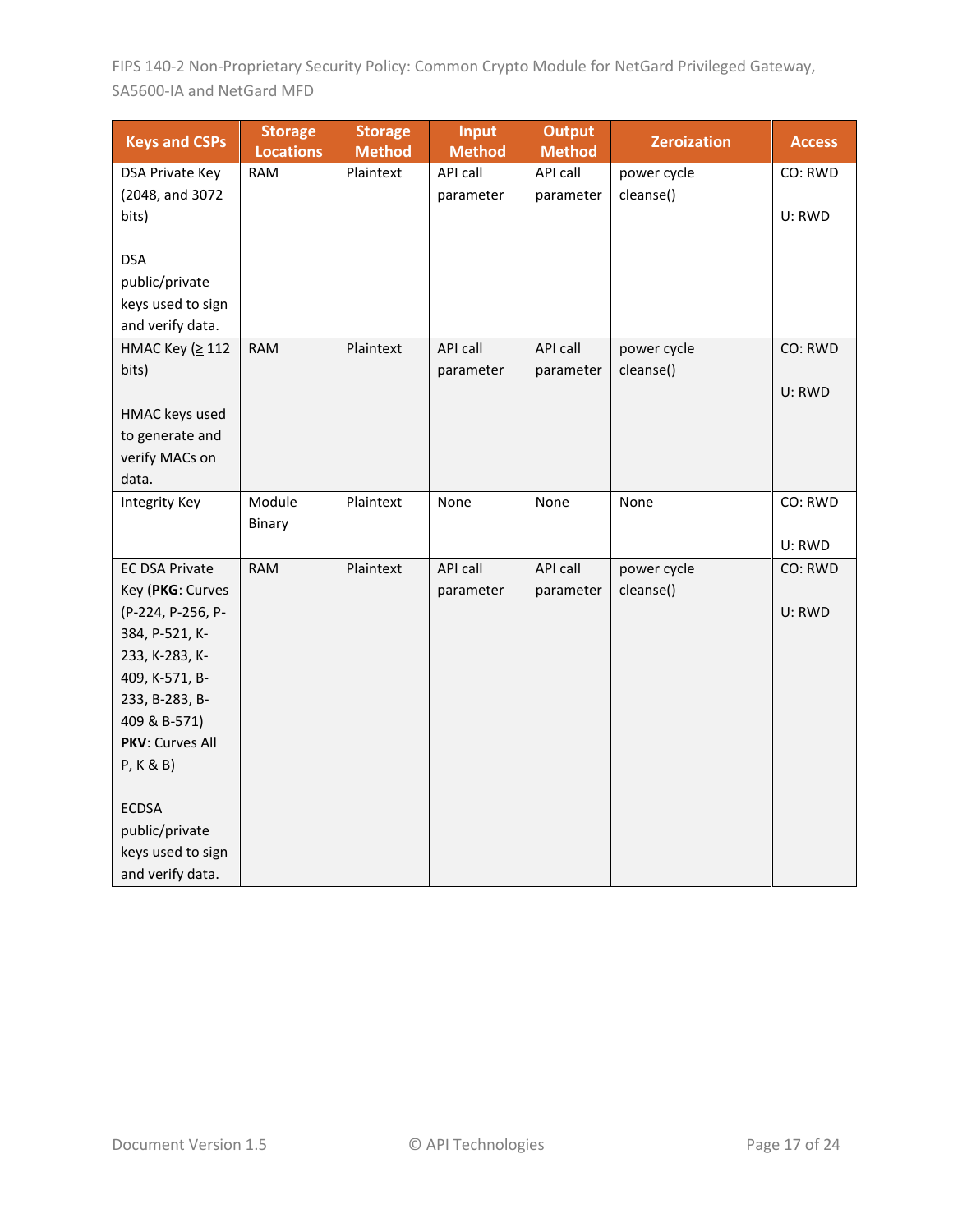| <b>Keys and CSPs</b>            | <b>Storage</b><br><b>Locations</b> | <b>Storage</b><br><b>Method</b> | Input<br><b>Method</b> | <b>Output</b><br><b>Method</b> | <b>Zeroization</b> | <b>Access</b> |
|---------------------------------|------------------------------------|---------------------------------|------------------------|--------------------------------|--------------------|---------------|
| <b>DSA Private Key</b>          | <b>RAM</b>                         | Plaintext                       | API call               | API call                       | power cycle        | CO: RWD       |
| (2048, and 3072                 |                                    |                                 | parameter              | parameter                      | cleanse()          |               |
| bits)                           |                                    |                                 |                        |                                |                    | U: RWD        |
|                                 |                                    |                                 |                        |                                |                    |               |
| <b>DSA</b>                      |                                    |                                 |                        |                                |                    |               |
| public/private                  |                                    |                                 |                        |                                |                    |               |
| keys used to sign               |                                    |                                 |                        |                                |                    |               |
| and verify data.                |                                    |                                 |                        |                                |                    |               |
| НМАС Кеу (≥ 112                 | <b>RAM</b>                         | Plaintext                       | API call               | <b>API call</b>                | power cycle        | CO: RWD       |
| bits)                           |                                    |                                 | parameter              | parameter                      | cleanse()          |               |
|                                 |                                    |                                 |                        |                                |                    | U: RWD        |
| HMAC keys used                  |                                    |                                 |                        |                                |                    |               |
| to generate and                 |                                    |                                 |                        |                                |                    |               |
| verify MACs on                  |                                    |                                 |                        |                                |                    |               |
| data.                           |                                    |                                 |                        |                                |                    |               |
| <b>Integrity Key</b>            | Module                             | Plaintext                       | None                   | None                           | None               | CO: RWD       |
|                                 | Binary                             |                                 |                        |                                |                    |               |
|                                 |                                    |                                 |                        |                                |                    | U: RWD        |
| <b>EC DSA Private</b>           | <b>RAM</b>                         | Plaintext                       | API call               | API call                       | power cycle        | CO: RWD       |
| Key (PKG: Curves                |                                    |                                 | parameter              | parameter                      | cleanse()          |               |
| (P-224, P-256, P-               |                                    |                                 |                        |                                |                    | U: RWD        |
| 384, P-521, K-                  |                                    |                                 |                        |                                |                    |               |
| 233, K-283, K-                  |                                    |                                 |                        |                                |                    |               |
| 409, K-571, B-                  |                                    |                                 |                        |                                |                    |               |
| 233, B-283, B-                  |                                    |                                 |                        |                                |                    |               |
| 409 & B-571)<br>PKV: Curves All |                                    |                                 |                        |                                |                    |               |
| P, K & B)                       |                                    |                                 |                        |                                |                    |               |
|                                 |                                    |                                 |                        |                                |                    |               |
| <b>ECDSA</b>                    |                                    |                                 |                        |                                |                    |               |
| public/private                  |                                    |                                 |                        |                                |                    |               |
| keys used to sign               |                                    |                                 |                        |                                |                    |               |
| and verify data.                |                                    |                                 |                        |                                |                    |               |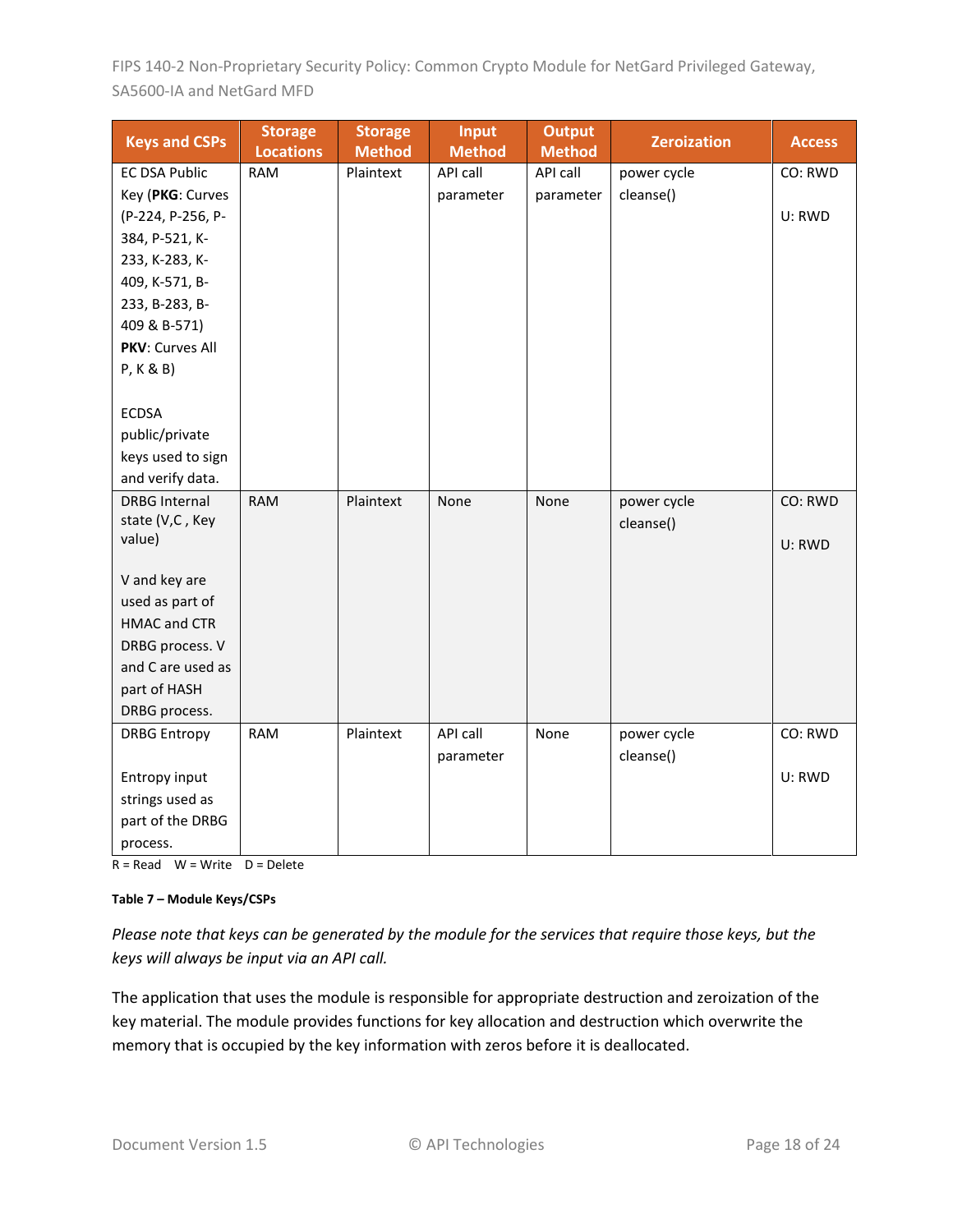| <b>Keys and CSPs</b>                                             | <b>Storage</b><br><b>Locations</b> | <b>Storage</b><br><b>Method</b> | <b>Input</b><br><b>Method</b> | <b>Output</b><br><b>Method</b> | <b>Zeroization</b> | <b>Access</b> |
|------------------------------------------------------------------|------------------------------------|---------------------------------|-------------------------------|--------------------------------|--------------------|---------------|
| <b>EC DSA Public</b>                                             | <b>RAM</b>                         | Plaintext                       | API call                      | API call                       | power cycle        | CO: RWD       |
| Key (PKG: Curves                                                 |                                    |                                 | parameter                     | parameter                      | cleanse()          |               |
| (P-224, P-256, P-                                                |                                    |                                 |                               |                                |                    | U: RWD        |
| 384, P-521, K-                                                   |                                    |                                 |                               |                                |                    |               |
| 233, K-283, K-                                                   |                                    |                                 |                               |                                |                    |               |
| 409, K-571, B-                                                   |                                    |                                 |                               |                                |                    |               |
| 233, B-283, B-                                                   |                                    |                                 |                               |                                |                    |               |
| 409 & B-571)                                                     |                                    |                                 |                               |                                |                    |               |
| PKV: Curves All                                                  |                                    |                                 |                               |                                |                    |               |
| P, K & B)                                                        |                                    |                                 |                               |                                |                    |               |
|                                                                  |                                    |                                 |                               |                                |                    |               |
| <b>ECDSA</b>                                                     |                                    |                                 |                               |                                |                    |               |
| public/private                                                   |                                    |                                 |                               |                                |                    |               |
| keys used to sign                                                |                                    |                                 |                               |                                |                    |               |
| and verify data.                                                 |                                    |                                 |                               |                                |                    |               |
| <b>DRBG Internal</b>                                             | <b>RAM</b>                         | Plaintext                       | None                          | None                           | power cycle        | CO: RWD       |
| state (V,C, Key                                                  |                                    |                                 |                               |                                | cleanse()          |               |
| value)                                                           |                                    |                                 |                               |                                |                    | U: RWD        |
|                                                                  |                                    |                                 |                               |                                |                    |               |
| V and key are<br>used as part of                                 |                                    |                                 |                               |                                |                    |               |
| <b>HMAC and CTR</b>                                              |                                    |                                 |                               |                                |                    |               |
| DRBG process. V                                                  |                                    |                                 |                               |                                |                    |               |
| and C are used as                                                |                                    |                                 |                               |                                |                    |               |
| part of HASH                                                     |                                    |                                 |                               |                                |                    |               |
| DRBG process.                                                    |                                    |                                 |                               |                                |                    |               |
| <b>DRBG Entropy</b>                                              | <b>RAM</b>                         | Plaintext                       | API call                      | None                           | power cycle        | CO: RWD       |
|                                                                  |                                    |                                 |                               |                                |                    |               |
|                                                                  |                                    |                                 |                               |                                |                    |               |
|                                                                  |                                    |                                 |                               |                                |                    |               |
|                                                                  |                                    |                                 |                               |                                |                    |               |
|                                                                  |                                    |                                 |                               |                                |                    |               |
| Entropy input<br>strings used as<br>part of the DRBG<br>process. |                                    |                                 | parameter                     |                                | cleanse()          | U: RWD        |

 $R = Read \t W = Write \t D = Delete$ 

#### **Table 7 – Module Keys/CSPs**

*Please note that keys can be generated by the module for the services that require those keys, but the keys will always be input via an API call.*

The application that uses the module is responsible for appropriate destruction and zeroization of the key material. The module provides functions for key allocation and destruction which overwrite the memory that is occupied by the key information with zeros before it is deallocated.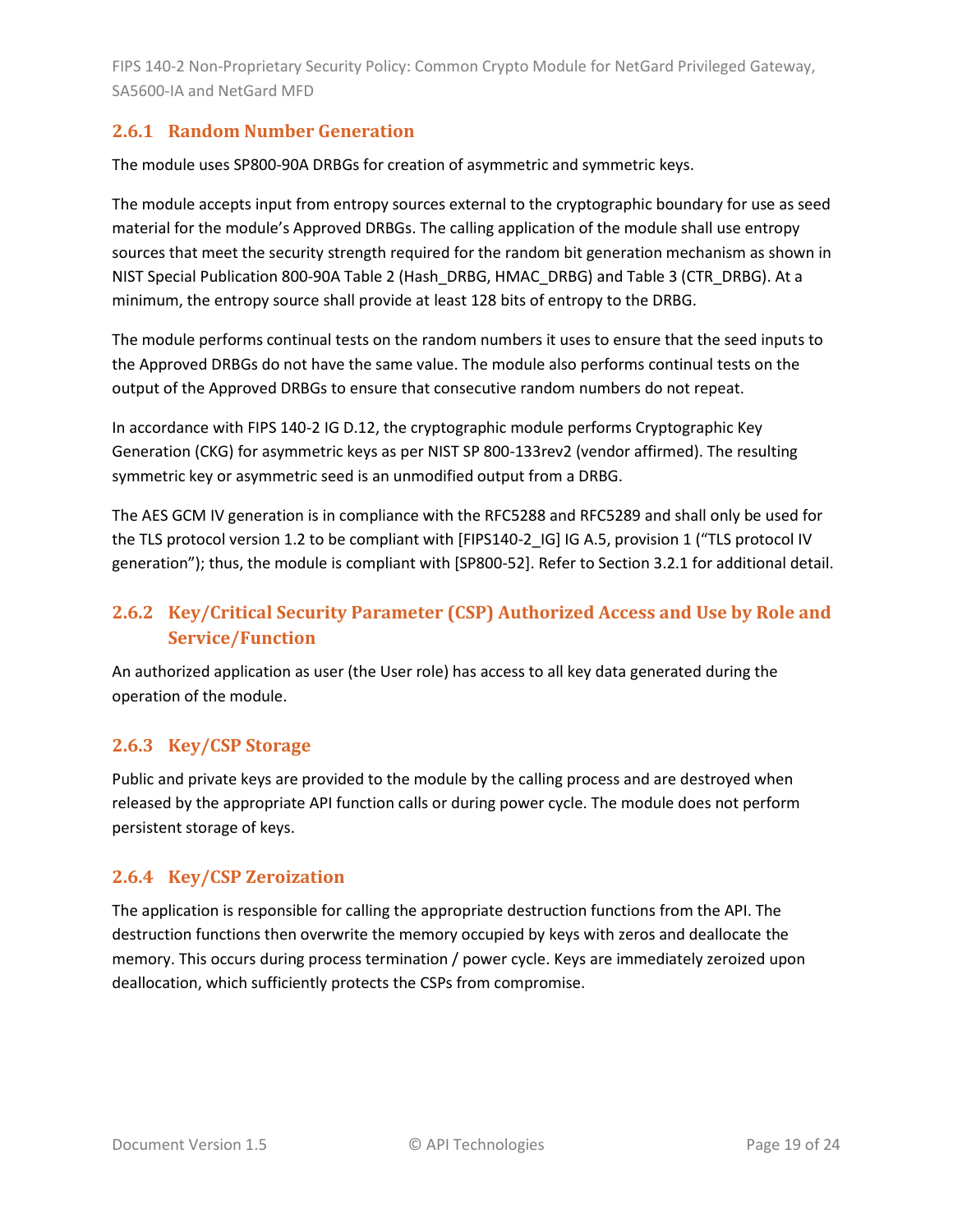#### <span id="page-18-0"></span>**2.6.1 Random Number Generation**

The module uses SP800-90A DRBGs for creation of asymmetric and symmetric keys.

The module accepts input from entropy sources external to the cryptographic boundary for use as seed material for the module's Approved DRBGs. The calling application of the module shall use entropy sources that meet the security strength required for the random bit generation mechanism as shown in NIST Special Publication 800-90A Table 2 (Hash\_DRBG, HMAC\_DRBG) and Table 3 (CTR\_DRBG). At a minimum, the entropy source shall provide at least 128 bits of entropy to the DRBG.

The module performs continual tests on the random numbers it uses to ensure that the seed inputs to the Approved DRBGs do not have the same value. The module also performs continual tests on the output of the Approved DRBGs to ensure that consecutive random numbers do not repeat.

In accordance with FIPS 140-2 IG D.12, the cryptographic module performs Cryptographic Key Generation (CKG) for asymmetric keys as per NIST SP 800-133rev2 (vendor affirmed). The resulting symmetric key or asymmetric seed is an unmodified output from a DRBG.

The AES GCM IV generation is in compliance with the RFC5288 and RFC5289 and shall only be used for the TLS protocol version 1.2 to be compliant with [FIPS140-2\_IG] IG A.5, provision 1 ("TLS protocol IV generation"); thus, the module is compliant with [SP800-52]. Refer to Section [3.2.1](#page-22-5) for additional detail.

### <span id="page-18-1"></span>**2.6.2 Key/Critical Security Parameter (CSP) Authorized Access and Use by Role and Service/Function**

An authorized application as user (the User role) has access to all key data generated during the operation of the module.

#### <span id="page-18-2"></span>**2.6.3 Key/CSP Storage**

Public and private keys are provided to the module by the calling process and are destroyed when released by the appropriate API function calls or during power cycle. The module does not perform persistent storage of keys.

#### <span id="page-18-3"></span>**2.6.4 Key/CSP Zeroization**

The application is responsible for calling the appropriate destruction functions from the API. The destruction functions then overwrite the memory occupied by keys with zeros and deallocate the memory. This occurs during process termination / power cycle. Keys are immediately zeroized upon deallocation, which sufficiently protects the CSPs from compromise.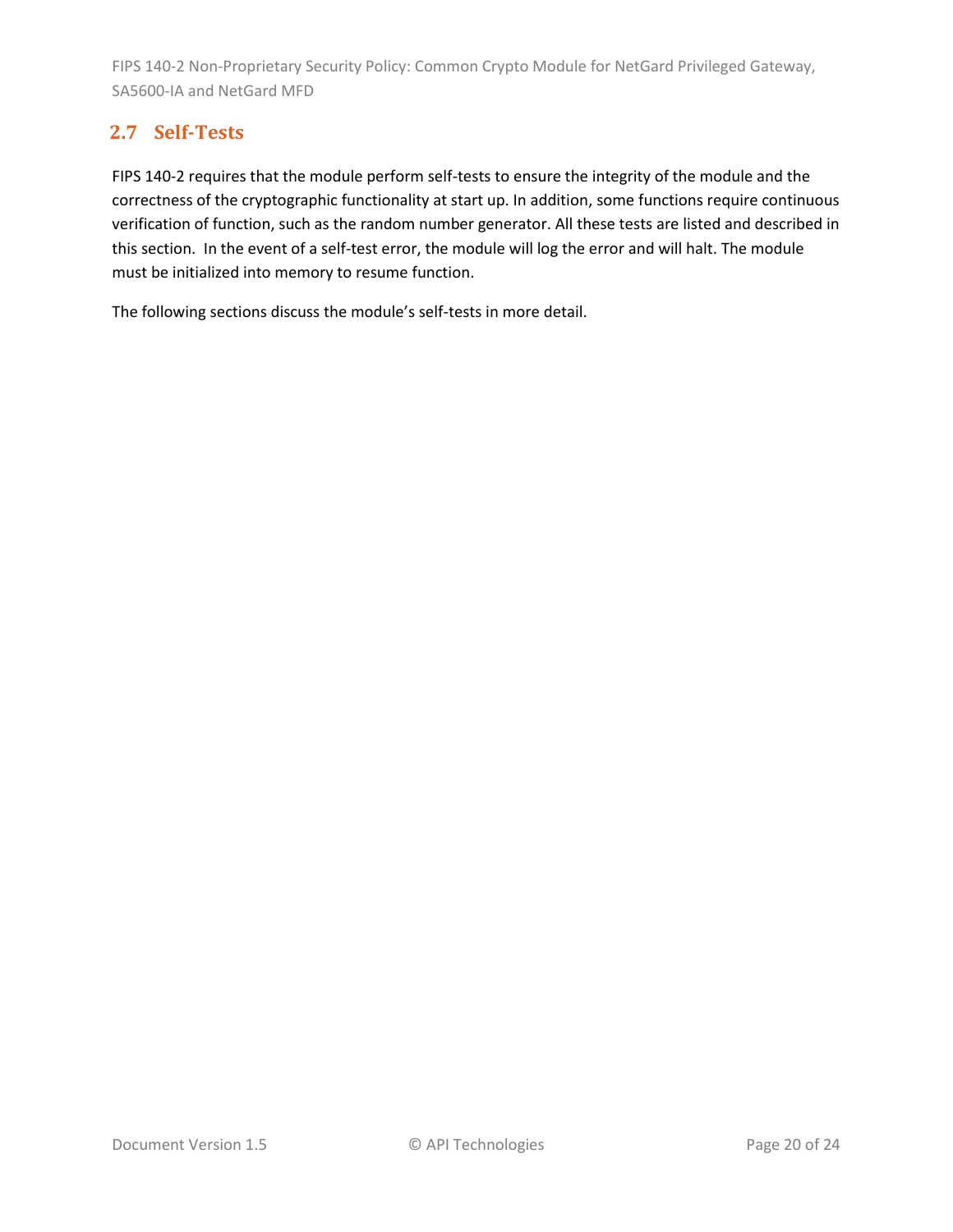# <span id="page-19-0"></span>**2.7 Self-Tests**

FIPS 140-2 requires that the module perform self-tests to ensure the integrity of the module and the correctness of the cryptographic functionality at start up. In addition, some functions require continuous verification of function, such as the random number generator. All these tests are listed and described in this section. In the event of a self-test error, the module will log the error and will halt. The module must be initialized into memory to resume function.

The following sections discuss the module's self-tests in more detail.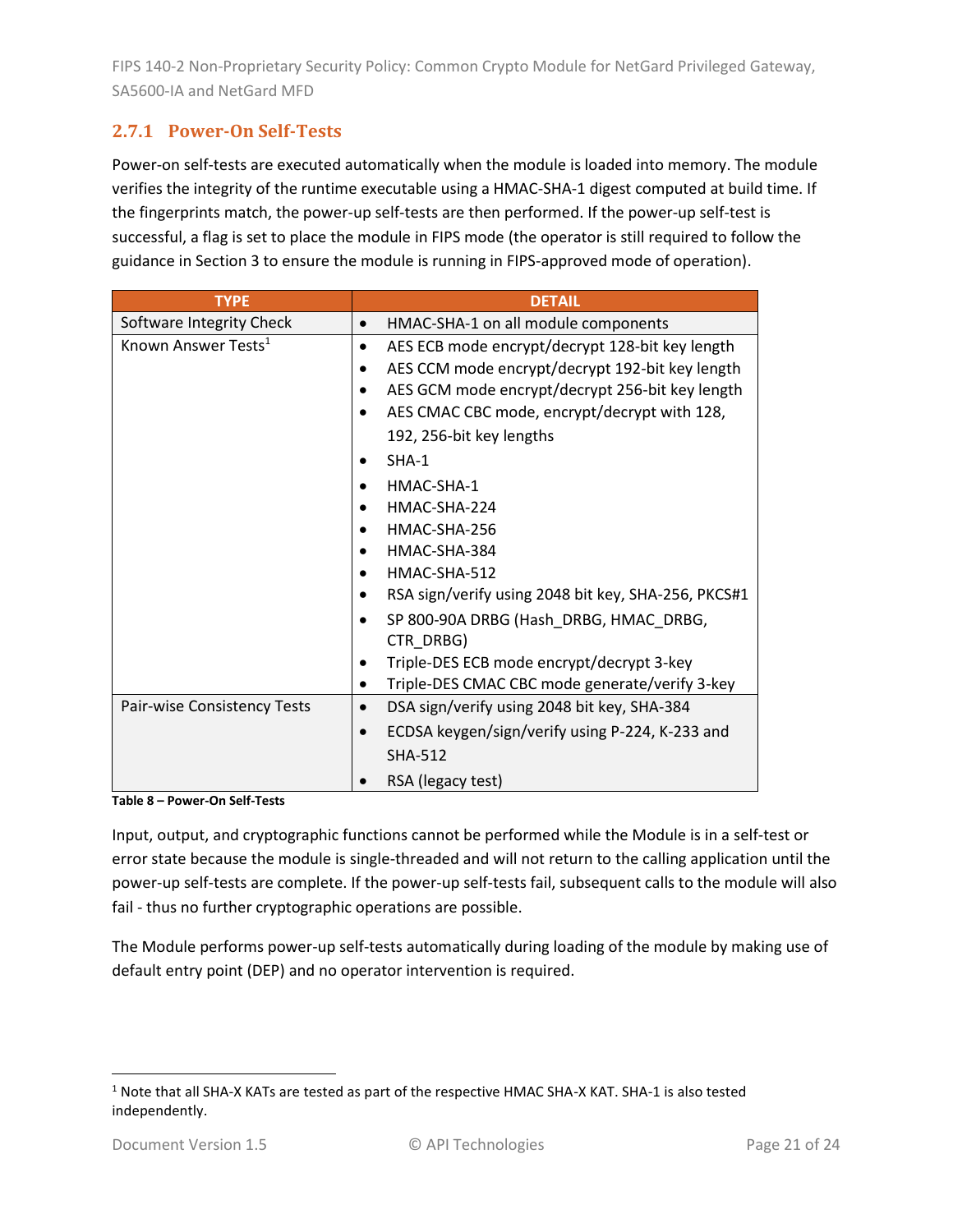# <span id="page-20-0"></span>**2.7.1 Power-On Self-Tests**

Power-on self-tests are executed automatically when the module is loaded into memory. The module verifies the integrity of the runtime executable using a HMAC-SHA-1 digest computed at build time. If the fingerprints match, the power-up self-tests are then performed. If the power-up self-test is successful, a flag is set to place the module in FIPS mode (the operator is still required to follow the guidance in Section [3](#page-22-0) to ensure the module is running in FIPS-approved mode of operation).

| <b>TYPE</b>                     | <b>DETAIL</b>                                                |
|---------------------------------|--------------------------------------------------------------|
| Software Integrity Check        | HMAC-SHA-1 on all module components<br>$\bullet$             |
| Known Answer Tests <sup>1</sup> | AES ECB mode encrypt/decrypt 128-bit key length<br>$\bullet$ |
|                                 | AES CCM mode encrypt/decrypt 192-bit key length              |
|                                 | AES GCM mode encrypt/decrypt 256-bit key length              |
|                                 | AES CMAC CBC mode, encrypt/decrypt with 128,                 |
|                                 | 192, 256-bit key lengths                                     |
|                                 | $SHA-1$                                                      |
|                                 | HMAC-SHA-1                                                   |
|                                 | HMAC-SHA-224                                                 |
|                                 | HMAC-SHA-256                                                 |
|                                 | HMAC-SHA-384                                                 |
|                                 | HMAC-SHA-512<br>$\bullet$                                    |
|                                 | RSA sign/verify using 2048 bit key, SHA-256, PKCS#1          |
|                                 | SP 800-90A DRBG (Hash_DRBG, HMAC_DRBG,<br>CTR DRBG)          |
|                                 | Triple-DES ECB mode encrypt/decrypt 3-key                    |
|                                 | Triple-DES CMAC CBC mode generate/verify 3-key               |
| Pair-wise Consistency Tests     | DSA sign/verify using 2048 bit key, SHA-384<br>$\bullet$     |
|                                 | ECDSA keygen/sign/verify using P-224, K-233 and              |
|                                 | <b>SHA-512</b>                                               |
|                                 | RSA (legacy test)                                            |

**Table 8 – Power-On Self-Tests**

Input, output, and cryptographic functions cannot be performed while the Module is in a self-test or error state because the module is single-threaded and will not return to the calling application until the power-up self-tests are complete. If the power-up self-tests fail, subsequent calls to the module will also fail - thus no further cryptographic operations are possible.

The Module performs power-up self-tests automatically during loading of the module by making use of default entry point (DEP) and no operator intervention is required.

<sup>1</sup> Note that all SHA-X KATs are tested as part of the respective HMAC SHA-X KAT. SHA-1 is also tested independently.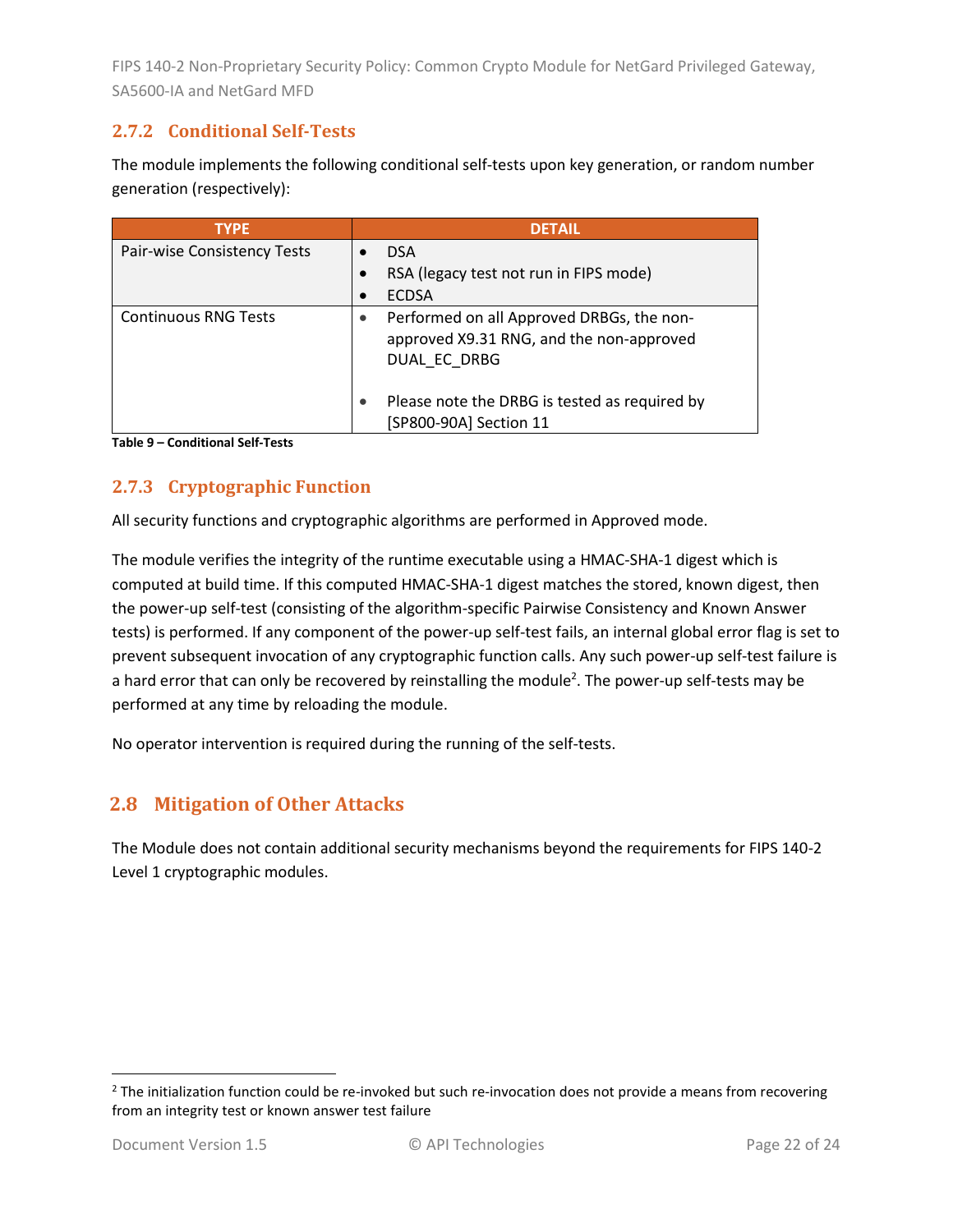# <span id="page-21-0"></span>**2.7.2 Conditional Self-Tests**

The module implements the following conditional self-tests upon key generation, or random number generation (respectively):

| <b>TYPF</b>                 | <b>DFTAIL</b>                                                                                         |
|-----------------------------|-------------------------------------------------------------------------------------------------------|
| Pair-wise Consistency Tests | <b>DSA</b>                                                                                            |
|                             | RSA (legacy test not run in FIPS mode)                                                                |
|                             | <b>ECDSA</b>                                                                                          |
| <b>Continuous RNG Tests</b> | Performed on all Approved DRBGs, the non-<br>approved X9.31 RNG, and the non-approved<br>DUAL EC DRBG |
|                             | Please note the DRBG is tested as required by<br>[SP800-90A] Section 11                               |

**Table 9 – Conditional Self-Tests**

### <span id="page-21-1"></span>**2.7.3 Cryptographic Function**

All security functions and cryptographic algorithms are performed in Approved mode.

The module verifies the integrity of the runtime executable using a HMAC-SHA-1 digest which is computed at build time. If this computed HMAC-SHA-1 digest matches the stored, known digest, then the power-up self-test (consisting of the algorithm-specific Pairwise Consistency and Known Answer tests) is performed. If any component of the power-up self-test fails, an internal global error flag is set to prevent subsequent invocation of any cryptographic function calls. Any such power-up self-test failure is a hard error that can only be recovered by reinstalling the module<sup>2</sup>. The power-up self-tests may be performed at any time by reloading the module.

No operator intervention is required during the running of the self-tests.

# <span id="page-21-2"></span>**2.8 Mitigation of Other Attacks**

The Module does not contain additional security mechanisms beyond the requirements for FIPS 140-2 Level 1 cryptographic modules.

 $2$  The initialization function could be re-invoked but such re-invocation does not provide a means from recovering from an integrity test or known answer test failure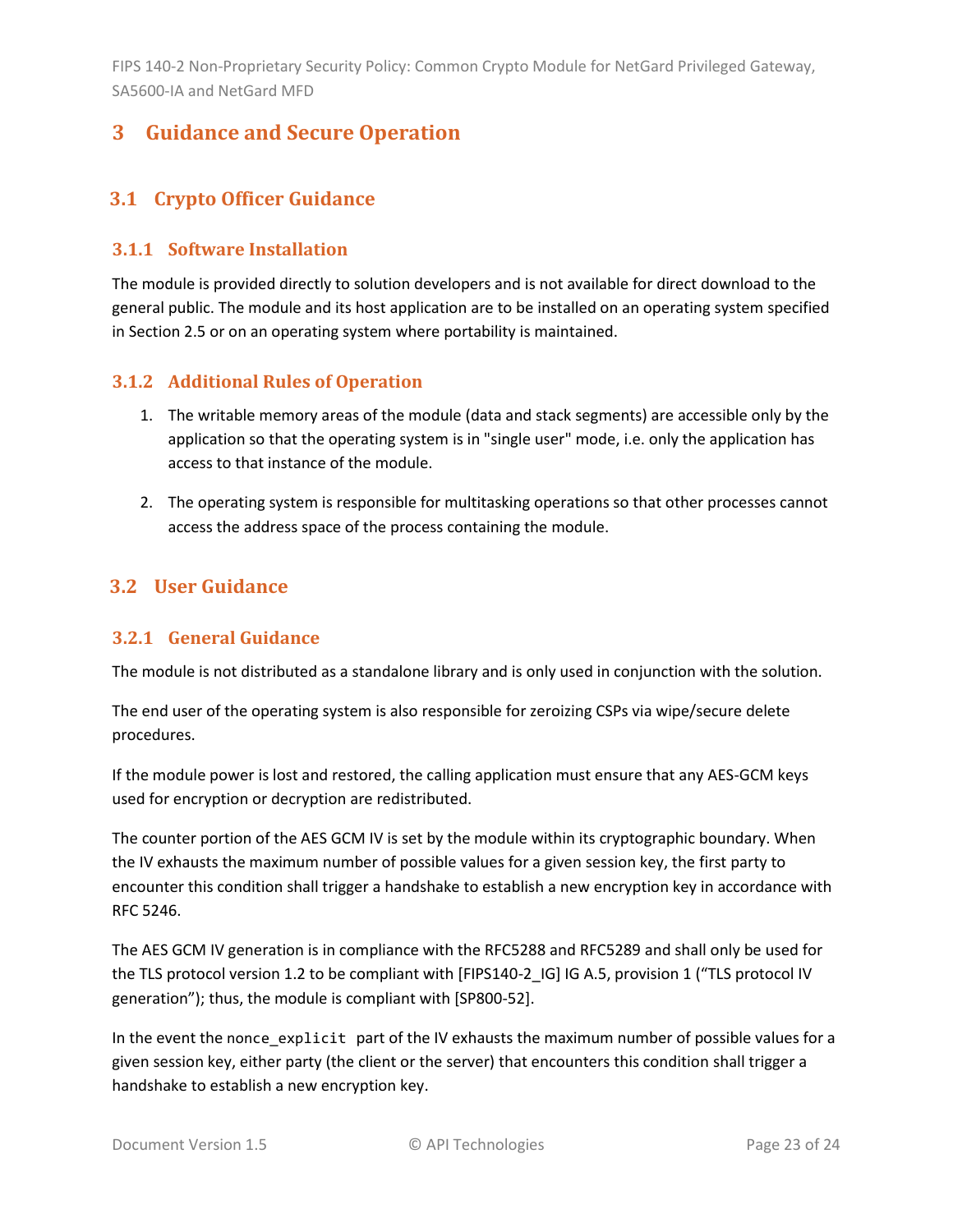# <span id="page-22-0"></span>**3 Guidance and Secure Operation**

# <span id="page-22-1"></span>**3.1 Crypto Officer Guidance**

#### <span id="page-22-2"></span>**3.1.1 Software Installation**

The module is provided directly to solution developers and is not available for direct download to the general public. The module and its host application are to be installed on an operating system specified in Section [2.5](#page-13-2) or on an operating system where portability is maintained.

#### <span id="page-22-3"></span>**3.1.2 Additional Rules of Operation**

- 1. The writable memory areas of the module (data and stack segments) are accessible only by the application so that the operating system is in "single user" mode, i.e. only the application has access to that instance of the module.
- 2. The operating system is responsible for multitasking operations so that other processes cannot access the address space of the process containing the module.

# <span id="page-22-4"></span>**3.2 User Guidance**

#### <span id="page-22-5"></span>**3.2.1 General Guidance**

The module is not distributed as a standalone library and is only used in conjunction with the solution.

The end user of the operating system is also responsible for zeroizing CSPs via wipe/secure delete procedures.

If the module power is lost and restored, the calling application must ensure that any AES-GCM keys used for encryption or decryption are redistributed.

The counter portion of the AES GCM IV is set by the module within its cryptographic boundary. When the IV exhausts the maximum number of possible values for a given session key, the first party to encounter this condition shall trigger a handshake to establish a new encryption key in accordance with RFC 5246.

The AES GCM IV generation is in compliance with the RFC5288 and RFC5289 and shall only be used for the TLS protocol version 1.2 to be compliant with [FIPS140-2\_IG] IG A.5, provision 1 ("TLS protocol IV generation"); thus, the module is compliant with [SP800-52].

In the event the nonce\_explicit part of the IV exhausts the maximum number of possible values for a given session key, either party (the client or the server) that encounters this condition shall trigger a handshake to establish a new encryption key.